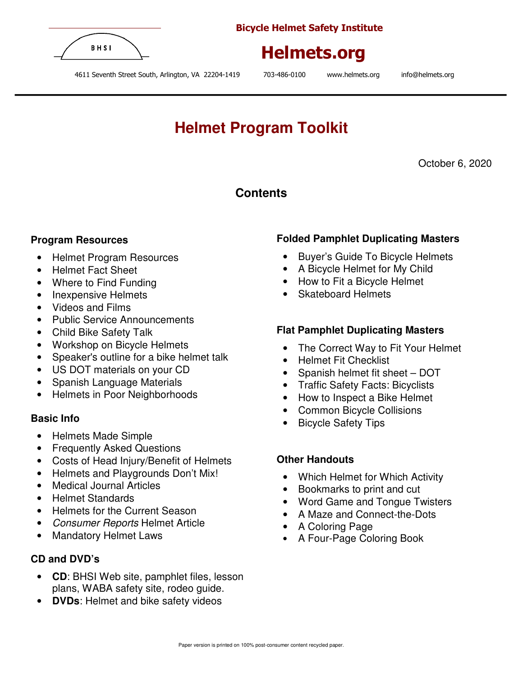

Bicycle Helmet Safety Institute



4611 Seventh Street South, Arlington, VA 22204-1419 703-486-0100 www.helmets.org info@helmets.org

# **Helmet Program Toolkit**

October 6, 2020

## **Contents**

### **Program Resources**

- Helmet Program Resources
- Helmet Fact Sheet
- Where to Find Funding
- Inexpensive Helmets
- Videos and Films
- Public Service Announcements
- Child Bike Safety Talk
- Workshop on Bicycle Helmets
- Speaker's outline for a bike helmet talk
- US DOT materials on your CD
- Spanish Language Materials
- Helmets in Poor Neighborhoods

### **Basic Info**

- Helmets Made Simple
- Frequently Asked Questions
- Costs of Head Injury/Benefit of Helmets
- Helmets and Playgrounds Don't Mix!
- Medical Journal Articles
- Helmet Standards
- Helmets for the Current Season
- Consumer Reports Helmet Article
- Mandatory Helmet Laws

### **CD and DVD's**

- **CD**: BHSI Web site, pamphlet files, lesson plans, WABA safety site, rodeo guide.
- **DVDs**: Helmet and bike safety videos

### **Folded Pamphlet Duplicating Masters**

- Buyer's Guide To Bicycle Helmets
- A Bicycle Helmet for My Child
- How to Fit a Bicycle Helmet
- Skateboard Helmets

### **Flat Pamphlet Duplicating Masters**

- The Correct Way to Fit Your Helmet
- Helmet Fit Checklist
- Spanish helmet fit sheet DOT
- Traffic Safety Facts: Bicyclists
- How to Inspect a Bike Helmet
- Common Bicycle Collisions
- Bicycle Safety Tips

### **Other Handouts**

- Which Helmet for Which Activity
- Bookmarks to print and cut
- Word Game and Tongue Twisters
- A Maze and Connect-the-Dots
- A Coloring Page
- A Four-Page Coloring Book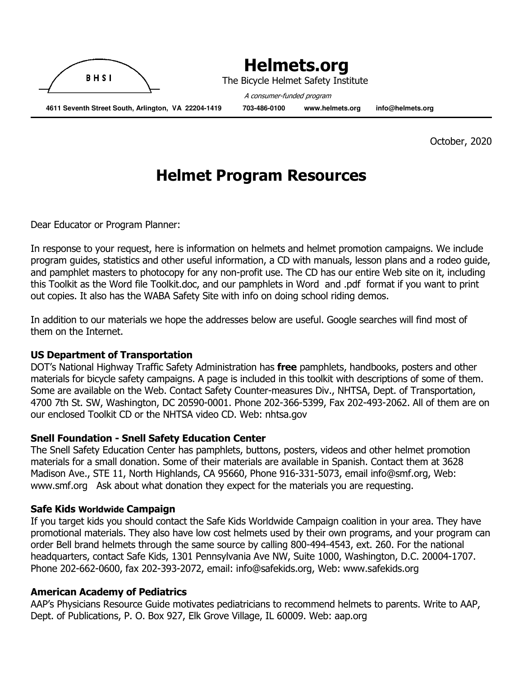

The Bicycle Helmet Safety Institute

 **4611 Seventh Street South, Arlington, VA 22204-1419 703-486-0100 www.helmets.org info@helmets.org** 

A consumer-funded program

October, 2020

# Helmet Program Resources

Dear Educator or Program Planner:

In response to your request, here is information on helmets and helmet promotion campaigns. We include program guides, statistics and other useful information, a CD with manuals, lesson plans and a rodeo guide, and pamphlet masters to photocopy for any non-profit use. The CD has our entire Web site on it, including this Toolkit as the Word file Toolkit.doc, and our pamphlets in Word and .pdf format if you want to print out copies. It also has the WABA Safety Site with info on doing school riding demos.

In addition to our materials we hope the addresses below are useful. Google searches will find most of them on the Internet.

### US Department of Transportation

DOT's National Highway Traffic Safety Administration has free pamphlets, handbooks, posters and other materials for bicycle safety campaigns. A page is included in this toolkit with descriptions of some of them. Some are available on the Web. Contact Safety Counter-measures Div., NHTSA, Dept. of Transportation, 4700 7th St. SW, Washington, DC 20590-0001. Phone 202-366-5399, Fax 202-493-2062. All of them are on our enclosed Toolkit CD or the NHTSA video CD. Web: nhtsa.gov

### Snell Foundation - Snell Safety Education Center

The Snell Safety Education Center has pamphlets, buttons, posters, videos and other helmet promotion materials for a small donation. Some of their materials are available in Spanish. Contact them at 3628 Madison Ave., STE 11, North Highlands, CA 95660, Phone 916-331-5073, email info@smf.org, Web: www.smf.org Ask about what donation they expect for the materials you are requesting.

### Safe Kids Worldwide Campaign

If you target kids you should contact the Safe Kids Worldwide Campaign coalition in your area. They have promotional materials. They also have low cost helmets used by their own programs, and your program can order Bell brand helmets through the same source by calling 800-494-4543, ext. 260. For the national headquarters, contact Safe Kids, 1301 Pennsylvania Ave NW, Suite 1000, Washington, D.C. 20004-1707. Phone 202-662-0600, fax 202-393-2072, email: info@safekids.org, Web: www.safekids.org

### American Academy of Pediatrics

AAP's Physicians Resource Guide motivates pediatricians to recommend helmets to parents. Write to AAP, Dept. of Publications, P. O. Box 927, Elk Grove Village, IL 60009. Web: aap.org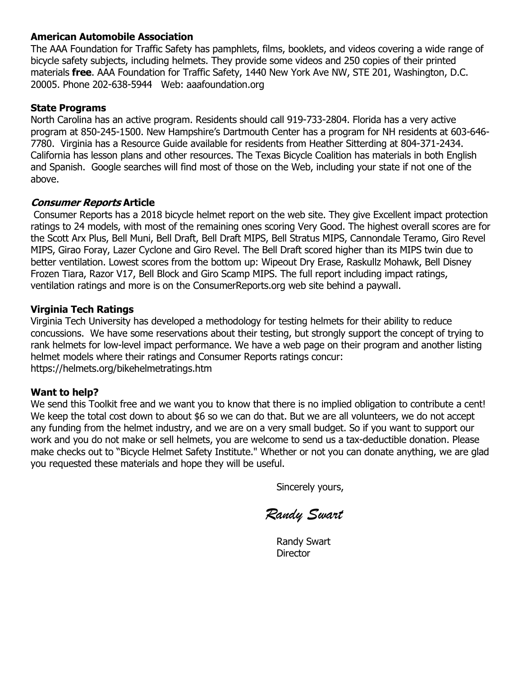### American Automobile Association

The AAA Foundation for Traffic Safety has pamphlets, films, booklets, and videos covering a wide range of bicycle safety subjects, including helmets. They provide some videos and 250 copies of their printed materials free. AAA Foundation for Traffic Safety, 1440 New York Ave NW, STE 201, Washington, D.C. 20005. Phone 202-638-5944 Web: aaafoundation.org

### State Programs

North Carolina has an active program. Residents should call 919-733-2804. Florida has a very active program at 850-245-1500. New Hampshire's Dartmouth Center has a program for NH residents at 603-646- 7780. Virginia has a Resource Guide available for residents from Heather Sitterding at 804-371-2434. California has lesson plans and other resources. The Texas Bicycle Coalition has materials in both English and Spanish. Google searches will find most of those on the Web, including your state if not one of the above.

### Consumer Reports Article

 Consumer Reports has a 2018 bicycle helmet report on the web site. They give Excellent impact protection ratings to 24 models, with most of the remaining ones scoring Very Good. The highest overall scores are for the Scott Arx Plus, Bell Muni, Bell Draft, Bell Draft MIPS, Bell Stratus MIPS, Cannondale Teramo, Giro Revel MIPS, Girao Foray, Lazer Cyclone and Giro Revel. The Bell Draft scored higher than its MIPS twin due to better ventilation. Lowest scores from the bottom up: Wipeout Dry Erase, Raskullz Mohawk, Bell Disney Frozen Tiara, Razor V17, Bell Block and Giro Scamp MIPS. The full report including impact ratings, ventilation ratings and more is on the ConsumerReports.org web site behind a paywall.

### Virginia Tech Ratings

Virginia Tech University has developed a methodology for testing helmets for their ability to reduce concussions. We have some reservations about their testing, but strongly support the concept of trying to rank helmets for low-level impact performance. We have a web page on their program and another listing helmet models where their ratings and Consumer Reports ratings concur: https://helmets.org/bikehelmetratings.htm

### Want to help?

We send this Toolkit free and we want you to know that there is no implied obligation to contribute a cent! We keep the total cost down to about \$6 so we can do that. But we are all volunteers, we do not accept any funding from the helmet industry, and we are on a very small budget. So if you want to support our work and you do not make or sell helmets, you are welcome to send us a tax-deductible donation. Please make checks out to "Bicycle Helmet Safety Institute." Whether or not you can donate anything, we are glad you requested these materials and hope they will be useful.

Sincerely yours,

Randy Swart

Randy Swart **Director**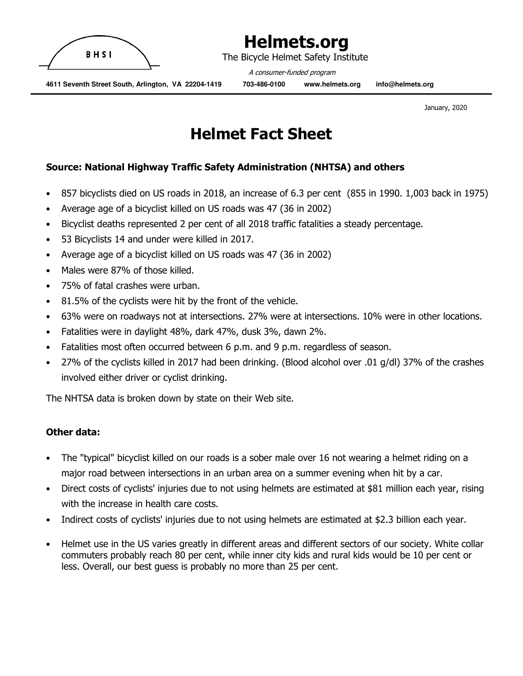

The Bicycle Helmet Safety Institute

A consumer-funded program

 **4611 Seventh Street South, Arlington, VA 22204-1419 703-486-0100 www.helmets.org info@helmets.org** 

January, 2020

# Helmet Fact Sheet

### Source: National Highway Traffic Safety Administration (NHTSA) and others

- 857 bicyclists died on US roads in 2018, an increase of 6.3 per cent (855 in 1990. 1,003 back in 1975)
- Average age of a bicyclist killed on US roads was 47 (36 in 2002)
- Bicyclist deaths represented 2 per cent of all 2018 traffic fatalities a steady percentage.
- 53 Bicyclists 14 and under were killed in 2017.
- Average age of a bicyclist killed on US roads was 47 (36 in 2002)
- Males were 87% of those killed.
- 75% of fatal crashes were urban.
- 81.5% of the cyclists were hit by the front of the vehicle.
- 63% were on roadways not at intersections. 27% were at intersections. 10% were in other locations.
- Fatalities were in daylight 48%, dark 47%, dusk 3%, dawn 2%.
- Fatalities most often occurred between 6 p.m. and 9 p.m. regardless of season.
- 27% of the cyclists killed in 2017 had been drinking. (Blood alcohol over .01 g/dl) 37% of the crashes involved either driver or cyclist drinking.

The NHTSA data is broken down by state on their Web site.

### Other data:

- The "typical" bicyclist killed on our roads is a sober male over 16 not wearing a helmet riding on a major road between intersections in an urban area on a summer evening when hit by a car.
- Direct costs of cyclists' injuries due to not using helmets are estimated at \$81 million each year, rising with the increase in health care costs.
- Indirect costs of cyclists' injuries due to not using helmets are estimated at \$2.3 billion each year.
- Helmet use in the US varies greatly in different areas and different sectors of our society. White collar commuters probably reach 80 per cent, while inner city kids and rural kids would be 10 per cent or less. Overall, our best guess is probably no more than 25 per cent.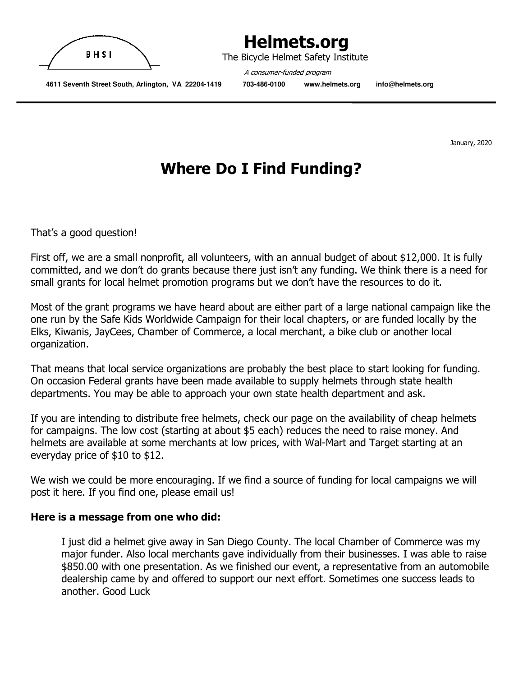

The Bicycle Helmet Safety Institute

A consumer-funded program

 **4611 Seventh Street South, Arlington, VA 22204-1419 703-486-0100 www.helmets.org info@helmets.org** 

January, 2020

# Where Do I Find Funding?

That's a good question!

First off, we are a small nonprofit, all volunteers, with an annual budget of about \$12,000. It is fully committed, and we don't do grants because there just isn't any funding. We think there is a need for small grants for local helmet promotion programs but we don't have the resources to do it.

Most of the grant programs we have heard about are either part of a large national campaign like the one run by the Safe Kids Worldwide Campaign for their local chapters, or are funded locally by the Elks, Kiwanis, JayCees, Chamber of Commerce, a local merchant, a bike club or another local organization.

That means that local service organizations are probably the best place to start looking for funding. On occasion Federal grants have been made available to supply helmets through state health departments. You may be able to approach your own state health department and ask.

If you are intending to distribute free helmets, check our page on the availability of cheap helmets for campaigns. The low cost (starting at about \$5 each) reduces the need to raise money. And helmets are available at some merchants at low prices, with Wal-Mart and Target starting at an everyday price of \$10 to \$12.

We wish we could be more encouraging. If we find a source of funding for local campaigns we will post it here. If you find one, please email us!

### Here is a message from one who did:

I just did a helmet give away in San Diego County. The local Chamber of Commerce was my major funder. Also local merchants gave individually from their businesses. I was able to raise \$850.00 with one presentation. As we finished our event, a representative from an automobile dealership came by and offered to support our next effort. Sometimes one success leads to another. Good Luck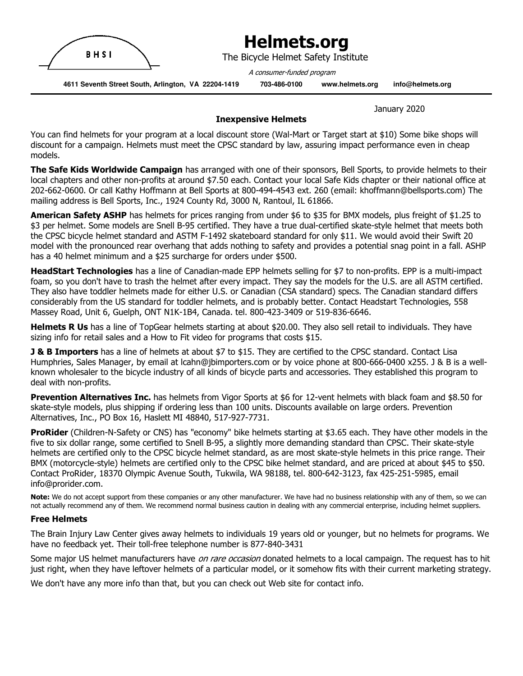

The Bicycle Helmet Safety Institute

A consumer-funded program

 **4611 Seventh Street South, Arlington, VA 22204-1419 703-486-0100 www.helmets.org info@helmets.org** 

January 2020

#### Inexpensive Helmets

You can find helmets for your program at a local discount store (Wal-Mart or Target start at \$10) Some bike shops will discount for a campaign. Helmets must meet the CPSC standard by law, assuring impact performance even in cheap models.

The Safe Kids Worldwide Campaign has arranged with one of their sponsors, Bell Sports, to provide helmets to their local chapters and other non-profits at around \$7.50 each. Contact your local Safe Kids chapter or their national office at 202-662-0600. Or call Kathy Hoffmann at Bell Sports at 800-494-4543 ext. 260 (email: khoffmann@bellsports.com) The mailing address is Bell Sports, Inc., 1924 County Rd, 3000 N, Rantoul, IL 61866.

American Safety ASHP has helmets for prices ranging from under \$6 to \$35 for BMX models, plus freight of \$1.25 to \$3 per helmet. Some models are Snell B-95 certified. They have a true dual-certified skate-style helmet that meets both the CPSC bicycle helmet standard and ASTM F-1492 skateboard standard for only \$11. We would avoid their Swift 20 model with the pronounced rear overhang that adds nothing to safety and provides a potential snag point in a fall. ASHP has a 40 helmet minimum and a \$25 surcharge for orders under \$500.

HeadStart Technologies has a line of Canadian-made EPP helmets selling for \$7 to non-profits. EPP is a multi-impact foam, so you don't have to trash the helmet after every impact. They say the models for the U.S. are all ASTM certified. They also have toddler helmets made for either U.S. or Canadian (CSA standard) specs. The Canadian standard differs considerably from the US standard for toddler helmets, and is probably better. Contact Headstart Technologies, 558 Massey Road, Unit 6, Guelph, ONT N1K-1B4, Canada. tel. 800-423-3409 or 519-836-6646.

Helmets R Us has a line of TopGear helmets starting at about \$20.00. They also sell retail to individuals. They have sizing info for retail sales and a How to Fit video for programs that costs \$15.

**J & B Importers** has a line of helmets at about \$7 to \$15. They are certified to the CPSC standard. Contact Lisa Humphries, Sales Manager, by email at lcahn@jbimporters.com or by voice phone at 800-666-0400 x255. J & B is a wellknown wholesaler to the bicycle industry of all kinds of bicycle parts and accessories. They established this program to deal with non-profits.

Prevention Alternatives Inc. has helmets from Vigor Sports at \$6 for 12-vent helmets with black foam and \$8.50 for skate-style models, plus shipping if ordering less than 100 units. Discounts available on large orders. Prevention Alternatives, Inc., PO Box 16, Haslett MI 48840, 517-927-7731.

**ProRider** (Children-N-Safety or CNS) has "economy" bike helmets starting at \$3.65 each. They have other models in the five to six dollar range, some certified to Snell B-95, a slightly more demanding standard than CPSC. Their skate-style helmets are certified only to the CPSC bicycle helmet standard, as are most skate-style helmets in this price range. Their BMX (motorcycle-style) helmets are certified only to the CPSC bike helmet standard, and are priced at about \$45 to \$50. Contact ProRider, 18370 Olympic Avenue South, Tukwila, WA 98188, tel. 800-642-3123, fax 425-251-5985, email info@prorider.com.

Note: We do not accept support from these companies or any other manufacturer. We have had no business relationship with any of them, so we can not actually recommend any of them. We recommend normal business caution in dealing with any commercial enterprise, including helmet suppliers.

#### Free Helmets

The Brain Injury Law Center gives away helmets to individuals 19 years old or younger, but no helmets for programs. We have no feedback yet. Their toll-free telephone number is 877-840-3431

Some major US helmet manufacturers have *on rare occasion* donated helmets to a local campaign. The request has to hit just right, when they have leftover helmets of a particular model, or it somehow fits with their current marketing strategy.

We don't have any more info than that, but you can check out Web site for contact info.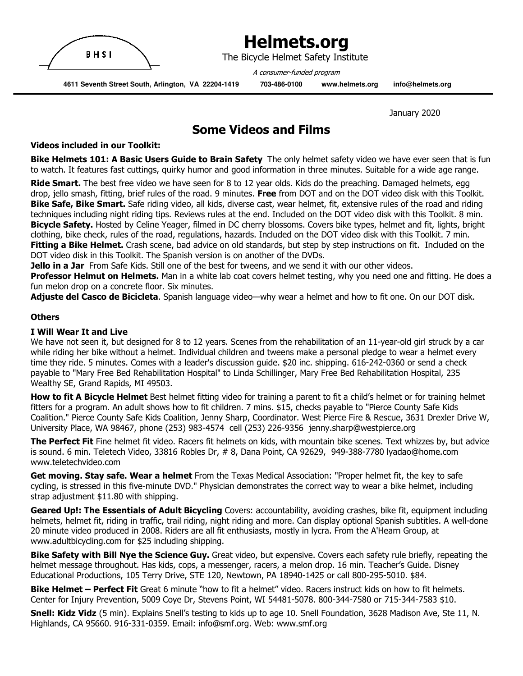

The Bicycle Helmet Safety Institute

A consumer-funded program

 **4611 Seventh Street South, Arlington, VA 22204-1419 703-486-0100 www.helmets.org info@helmets.org** 

January 2020

### Some Videos and Films

#### Videos included in our Toolkit:

Bike Helmets 101: A Basic Users Guide to Brain Safety The only helmet safety video we have ever seen that is fun to watch. It features fast cuttings, quirky humor and good information in three minutes. Suitable for a wide age range.

Ride Smart. The best free video we have seen for 8 to 12 year olds. Kids do the preaching. Damaged helmets, egg drop, jello smash, fitting, brief rules of the road. 9 minutes. Free from DOT and on the DOT video disk with this Toolkit. Bike Safe, Bike Smart. Safe riding video, all kids, diverse cast, wear helmet, fit, extensive rules of the road and riding techniques including night riding tips. Reviews rules at the end. Included on the DOT video disk with this Toolkit. 8 min. Bicycle Safety. Hosted by Celine Yeager, filmed in DC cherry blossoms. Covers bike types, helmet and fit, lights, bright clothing, bike check, rules of the road, regulations, hazards. Included on the DOT video disk with this Toolkit. 7 min. **Fitting a Bike Helmet.** Crash scene, bad advice on old standards, but step by step instructions on fit. Included on the DOT video disk in this Toolkit. The Spanish version is on another of the DVDs.

**Jello in a Jar** From Safe Kids. Still one of the best for tweens, and we send it with our other videos.

Professor Helmut on Helmets. Man in a white lab coat covers helmet testing, why you need one and fitting. He does a fun melon drop on a concrete floor. Six minutes.

Adjuste del Casco de Bicicleta. Spanish language video—why wear a helmet and how to fit one. On our DOT disk.

#### **Others**

#### I Will Wear It and Live

We have not seen it, but designed for 8 to 12 years. Scenes from the rehabilitation of an 11-year-old girl struck by a car while riding her bike without a helmet. Individual children and tweens make a personal pledge to wear a helmet every time they ride. 5 minutes. Comes with a leader's discussion guide. \$20 inc. shipping. 616-242-0360 or send a check payable to "Mary Free Bed Rehabilitation Hospital" to Linda Schillinger, Mary Free Bed Rehabilitation Hospital, 235 Wealthy SE, Grand Rapids, MI 49503.

How to fit A Bicycle Helmet Best helmet fitting video for training a parent to fit a child's helmet or for training helmet fitters for a program. An adult shows how to fit children. 7 mins. \$15, checks payable to "Pierce County Safe Kids Coalition." Pierce County Safe Kids Coalition, Jenny Sharp, Coordinator. West Pierce Fire & Rescue, 3631 Drexler Drive W, University Place, WA 98467, phone (253) 983-4574 cell (253) 226-9356 jenny.sharp@westpierce.org

The Perfect Fit Fine helmet fit video. Racers fit helmets on kids, with mountain bike scenes. Text whizzes by, but advice is sound. 6 min. Teletech Video, 33816 Robles Dr, # 8, Dana Point, CA 92629, 949-388-7780 lyadao@home.com www.teletechvideo.com

Get moving. Stay safe. Wear a helmet From the Texas Medical Association: "Proper helmet fit, the key to safe cycling, is stressed in this five-minute DVD." Physician demonstrates the correct way to wear a bike helmet, including strap adjustment \$11.80 with shipping.

Geared Up!: The Essentials of Adult Bicycling Covers: accountability, avoiding crashes, bike fit, equipment including helmets, helmet fit, riding in traffic, trail riding, night riding and more. Can display optional Spanish subtitles. A well-done 20 minute video produced in 2008. Riders are all fit enthusiasts, mostly in lycra. From the A'Hearn Group, at www.adultbicycling.com for \$25 including shipping.

Bike Safety with Bill Nye the Science Guy. Great video, but expensive. Covers each safety rule briefly, repeating the helmet message throughout. Has kids, cops, a messenger, racers, a melon drop. 16 min. Teacher's Guide. Disney Educational Productions, 105 Terry Drive, STE 120, Newtown, PA 18940-1425 or call 800-295-5010. \$84.

Bike Helmet – Perfect Fit Great 6 minute "how to fit a helmet" video. Racers instruct kids on how to fit helmets. Center for Injury Prevention, 5009 Coye Dr, Stevens Point, WI 54481-5078. 800-344-7580 or 715-344-7583 \$10.

Snell: Kidz Vidz (5 min). Explains Snell's testing to kids up to age 10. Snell Foundation, 3628 Madison Ave, Ste 11, N. Highlands, CA 95660. 916-331-0359. Email: info@smf.org. Web: www.smf.org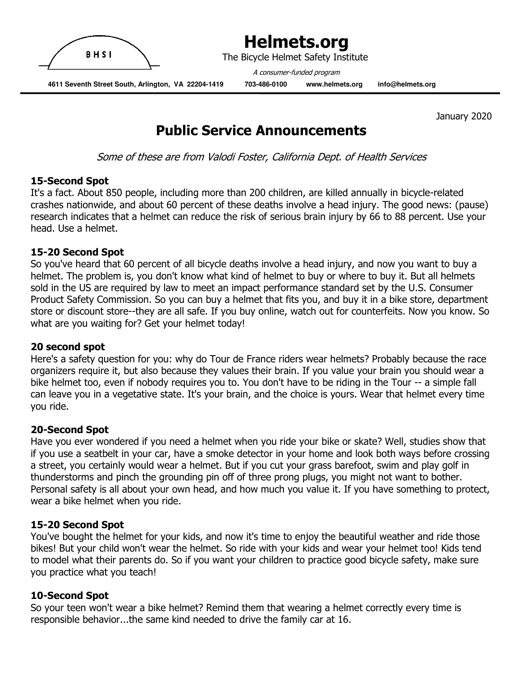

The Bicycle Helmet Safety Institute

A consumer-funded program

 **4611 Seventh Street South, Arlington, VA 22204-1419 703-486-0100 www.helmets.org info@helmets.org** 

January 2020

## Public Service Announcements

Some of these are from Valodi Foster, California Dept. of Health Services

### 15-Second Spot

It's a fact. About 850 people, including more than 200 children, are killed annually in bicycle-related crashes nationwide, and about 60 percent of these deaths involve a head injury. The good news: (pause) research indicates that a helmet can reduce the risk of serious brain injury by 66 to 88 percent. Use your head. Use a helmet.

### 15-20 Second Spot

So you've heard that 60 percent of all bicycle deaths involve a head injury, and now you want to buy a helmet. The problem is, you don't know what kind of helmet to buy or where to buy it. But all helmets sold in the US are required by law to meet an impact performance standard set by the U.S. Consumer Product Safety Commission. So you can buy a helmet that fits you, and buy it in a bike store, department store or discount store--they are all safe. If you buy online, watch out for counterfeits. Now you know. So what are you waiting for? Get your helmet today!

### 20 second spot

Here's a safety question for you: why do Tour de France riders wear helmets? Probably because the race organizers require it, but also because they values their brain. If you value your brain you should wear a bike helmet too, even if nobody requires you to. You don't have to be riding in the Tour -- a simple fall can leave you in a vegetative state. It's your brain, and the choice is yours. Wear that helmet every time you ride.

### 20-Second Spot

Have you ever wondered if you need a helmet when you ride your bike or skate? Well, studies show that if you use a seatbelt in your car, have a smoke detector in your home and look both ways before crossing a street, you certainly would wear a helmet. But if you cut your grass barefoot, swim and play golf in thunderstorms and pinch the grounding pin off of three prong plugs, you might not want to bother. Personal safety is all about your own head, and how much you value it. If you have something to protect, wear a bike helmet when you ride.

### 15-20 Second Spot

You've bought the helmet for your kids, and now it's time to enjoy the beautiful weather and ride those bikes! But your child won't wear the helmet. So ride with your kids and wear your helmet too! Kids tend to model what their parents do. So if you want your children to practice good bicycle safety, make sure you practice what you teach!

### 10-Second Spot

So your teen won't wear a bike helmet? Remind them that wearing a helmet correctly every time is responsible behavior...the same kind needed to drive the family car at 16.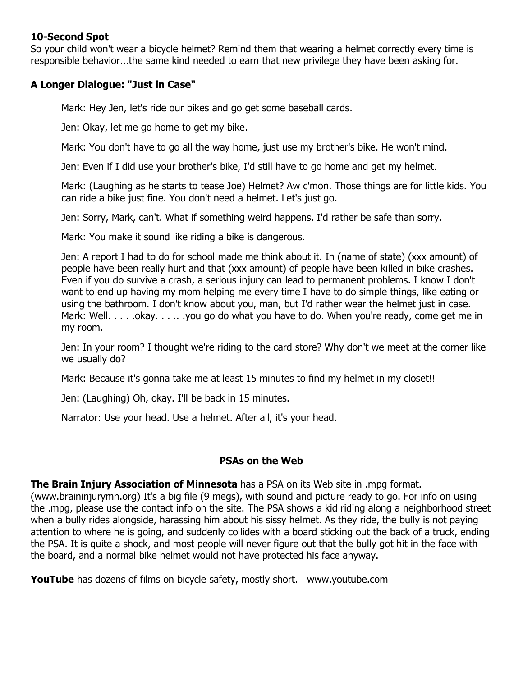### 10-Second Spot

So your child won't wear a bicycle helmet? Remind them that wearing a helmet correctly every time is responsible behavior...the same kind needed to earn that new privilege they have been asking for.

### A Longer Dialogue: "Just in Case"

Mark: Hey Jen, let's ride our bikes and go get some baseball cards.

Jen: Okay, let me go home to get my bike.

Mark: You don't have to go all the way home, just use my brother's bike. He won't mind.

Jen: Even if I did use your brother's bike, I'd still have to go home and get my helmet.

Mark: (Laughing as he starts to tease Joe) Helmet? Aw c'mon. Those things are for little kids. You can ride a bike just fine. You don't need a helmet. Let's just go.

Jen: Sorry, Mark, can't. What if something weird happens. I'd rather be safe than sorry.

Mark: You make it sound like riding a bike is dangerous.

Jen: A report I had to do for school made me think about it. In (name of state) (xxx amount) of people have been really hurt and that (xxx amount) of people have been killed in bike crashes. Even if you do survive a crash, a serious injury can lead to permanent problems. I know I don't want to end up having my mom helping me every time I have to do simple things, like eating or using the bathroom. I don't know about you, man, but I'd rather wear the helmet just in case. Mark: Well. . . . . okay. . . . . . you go do what you have to do. When you're ready, come get me in my room.

Jen: In your room? I thought we're riding to the card store? Why don't we meet at the corner like we usually do?

Mark: Because it's gonna take me at least 15 minutes to find my helmet in my closet!!

Jen: (Laughing) Oh, okay. I'll be back in 15 minutes.

Narrator: Use your head. Use a helmet. After all, it's your head.

### PSAs on the Web

The Brain Injury Association of Minnesota has a PSA on its Web site in .mpg format.

(www.braininjurymn.org) It's a big file (9 megs), with sound and picture ready to go. For info on using the .mpg, please use the contact info on the site. The PSA shows a kid riding along a neighborhood street when a bully rides alongside, harassing him about his sissy helmet. As they ride, the bully is not paying attention to where he is going, and suddenly collides with a board sticking out the back of a truck, ending the PSA. It is quite a shock, and most people will never figure out that the bully got hit in the face with the board, and a normal bike helmet would not have protected his face anyway.

**YouTube** has dozens of films on bicycle safety, mostly short. www.youtube.com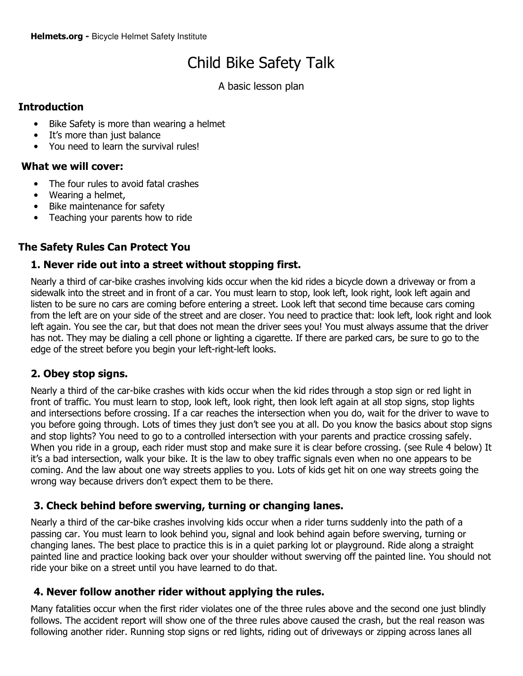# Child Bike Safety Talk

A basic lesson plan

### **Introduction**

- Bike Safety is more than wearing a helmet
- It's more than just balance
- You need to learn the survival rules!

### What we will cover:

- The four rules to avoid fatal crashes
- Wearing a helmet,
- Bike maintenance for safety
- Teaching your parents how to ride

### The Safety Rules Can Protect You

### 1. Never ride out into a street without stopping first.

Nearly a third of car-bike crashes involving kids occur when the kid rides a bicycle down a driveway or from a sidewalk into the street and in front of a car. You must learn to stop, look left, look right, look left again and listen to be sure no cars are coming before entering a street. Look left that second time because cars coming from the left are on your side of the street and are closer. You need to practice that: look left, look right and look left again. You see the car, but that does not mean the driver sees you! You must always assume that the driver has not. They may be dialing a cell phone or lighting a cigarette. If there are parked cars, be sure to go to the edge of the street before you begin your left-right-left looks.

### 2. Obey stop signs.

Nearly a third of the car-bike crashes with kids occur when the kid rides through a stop sign or red light in front of traffic. You must learn to stop, look left, look right, then look left again at all stop signs, stop lights and intersections before crossing. If a car reaches the intersection when you do, wait for the driver to wave to you before going through. Lots of times they just don't see you at all. Do you know the basics about stop signs and stop lights? You need to go to a controlled intersection with your parents and practice crossing safely. When you ride in a group, each rider must stop and make sure it is clear before crossing. (see Rule 4 below) It it's a bad intersection, walk your bike. It is the law to obey traffic signals even when no one appears to be coming. And the law about one way streets applies to you. Lots of kids get hit on one way streets going the wrong way because drivers don't expect them to be there.

### 3. Check behind before swerving, turning or changing lanes.

Nearly a third of the car-bike crashes involving kids occur when a rider turns suddenly into the path of a passing car. You must learn to look behind you, signal and look behind again before swerving, turning or changing lanes. The best place to practice this is in a quiet parking lot or playground. Ride along a straight painted line and practice looking back over your shoulder without swerving off the painted line. You should not ride your bike on a street until you have learned to do that.

### 4. Never follow another rider without applying the rules.

Many fatalities occur when the first rider violates one of the three rules above and the second one just blindly follows. The accident report will show one of the three rules above caused the crash, but the real reason was following another rider. Running stop signs or red lights, riding out of driveways or zipping across lanes all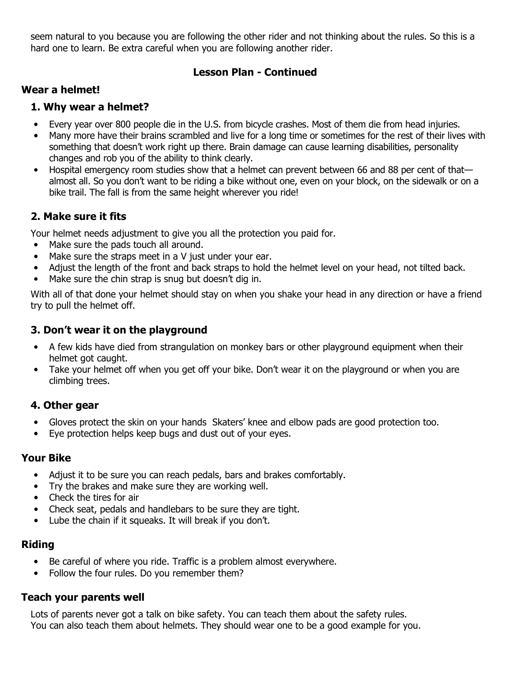seem natural to you because you are following the other rider and not thinking about the rules. So this is a hard one to learn. Be extra careful when you are following another rider.

### Lesson Plan - Continued

### Wear a helmet!

### 1. Why wear a helmet?

- Every year over 800 people die in the U.S. from bicycle crashes. Most of them die from head injuries.
- Many more have their brains scrambled and live for a long time or sometimes for the rest of their lives with something that doesn't work right up there. Brain damage can cause learning disabilities, personality changes and rob you of the ability to think clearly.
- Hospital emergency room studies show that a helmet can prevent between 66 and 88 per cent of that almost all. So you don't want to be riding a bike without one, even on your block, on the sidewalk or on a bike trail. The fall is from the same height wherever you ride!

### 2. Make sure it fits

Your helmet needs adjustment to give you all the protection you paid for.

- Make sure the pads touch all around.
- Make sure the straps meet in a V just under your ear.
- Adjust the length of the front and back straps to hold the helmet level on your head, not tilted back.
- Make sure the chin strap is snug but doesn't dig in.

With all of that done your helmet should stay on when you shake your head in any direction or have a friend try to pull the helmet off.

### 3. Don't wear it on the playground

- A few kids have died from strangulation on monkey bars or other playground equipment when their helmet got caught.
- Take your helmet off when you get off your bike. Don't wear it on the playground or when you are climbing trees.

### 4. Other gear

- Gloves protect the skin on your hands Skaters' knee and elbow pads are good protection too.
- Eye protection helps keep bugs and dust out of your eyes.

### Your Bike

- Adjust it to be sure you can reach pedals, bars and brakes comfortably.
- Try the brakes and make sure they are working well.
- Check the tires for air
- Check seat, pedals and handlebars to be sure they are tight.
- Lube the chain if it squeaks. It will break if you don't.

### Riding

- Be careful of where you ride. Traffic is a problem almost everywhere.
- Follow the four rules. Do you remember them?

### Teach your parents well

Lots of parents never got a talk on bike safety. You can teach them about the safety rules. You can also teach them about helmets. They should wear one to be a good example for you.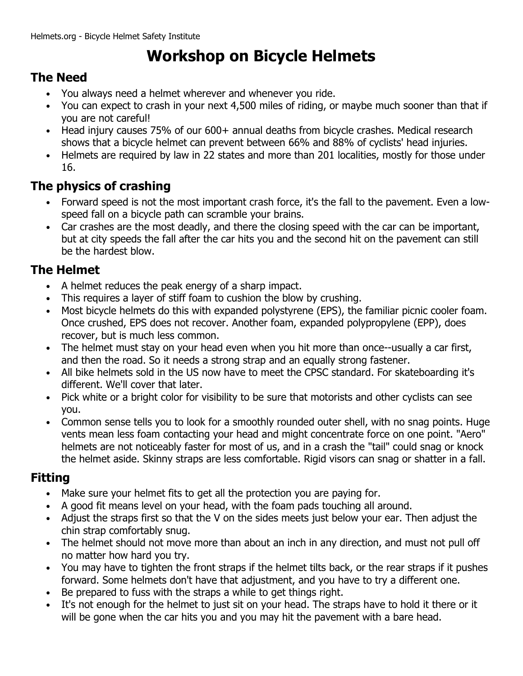# Workshop on Bicycle Helmets

## The Need

- You always need a helmet wherever and whenever you ride.
- You can expect to crash in your next 4,500 miles of riding, or maybe much sooner than that if you are not careful!
- Head injury causes 75% of our 600+ annual deaths from bicycle crashes. Medical research shows that a bicycle helmet can prevent between 66% and 88% of cyclists' head injuries.
- Helmets are required by law in 22 states and more than 201 localities, mostly for those under 16.

## The physics of crashing

- Forward speed is not the most important crash force, it's the fall to the pavement. Even a lowspeed fall on a bicycle path can scramble your brains.
- Car crashes are the most deadly, and there the closing speed with the car can be important, but at city speeds the fall after the car hits you and the second hit on the pavement can still be the hardest blow.

## The Helmet

- A helmet reduces the peak energy of a sharp impact.
- This requires a layer of stiff foam to cushion the blow by crushing.
- Most bicycle helmets do this with expanded polystyrene (EPS), the familiar picnic cooler foam. Once crushed, EPS does not recover. Another foam, expanded polypropylene (EPP), does recover, but is much less common.
- The helmet must stay on your head even when you hit more than once--usually a car first, and then the road. So it needs a strong strap and an equally strong fastener.
- All bike helmets sold in the US now have to meet the CPSC standard. For skateboarding it's different. We'll cover that later.
- Pick white or a bright color for visibility to be sure that motorists and other cyclists can see you.
- Common sense tells you to look for a smoothly rounded outer shell, with no snag points. Huge vents mean less foam contacting your head and might concentrate force on one point. "Aero" helmets are not noticeably faster for most of us, and in a crash the "tail" could snag or knock the helmet aside. Skinny straps are less comfortable. Rigid visors can snag or shatter in a fall.

## Fitting

- Make sure your helmet fits to get all the protection you are paying for.
- A good fit means level on your head, with the foam pads touching all around.
- Adjust the straps first so that the V on the sides meets just below your ear. Then adjust the chin strap comfortably snug.
- The helmet should not move more than about an inch in any direction, and must not pull off no matter how hard you try.
- You may have to tighten the front straps if the helmet tilts back, or the rear straps if it pushes forward. Some helmets don't have that adjustment, and you have to try a different one.
- Be prepared to fuss with the straps a while to get things right.
- It's not enough for the helmet to just sit on your head. The straps have to hold it there or it will be gone when the car hits you and you may hit the pavement with a bare head.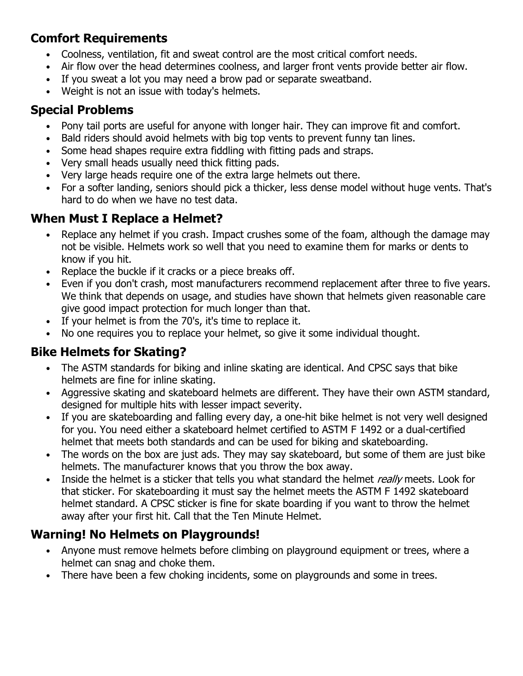## Comfort Requirements

- Coolness, ventilation, fit and sweat control are the most critical comfort needs.
- Air flow over the head determines coolness, and larger front vents provide better air flow.
- If you sweat a lot you may need a brow pad or separate sweatband.
- Weight is not an issue with today's helmets.

## Special Problems

- Pony tail ports are useful for anyone with longer hair. They can improve fit and comfort.
- Bald riders should avoid helmets with big top vents to prevent funny tan lines.
- Some head shapes require extra fiddling with fitting pads and straps.
- Very small heads usually need thick fitting pads.
- Very large heads require one of the extra large helmets out there.
- For a softer landing, seniors should pick a thicker, less dense model without huge vents. That's hard to do when we have no test data.

## When Must I Replace a Helmet?

- Replace any helmet if you crash. Impact crushes some of the foam, although the damage may not be visible. Helmets work so well that you need to examine them for marks or dents to know if you hit.
- Replace the buckle if it cracks or a piece breaks off.
- Even if you don't crash, most manufacturers recommend replacement after three to five years. We think that depends on usage, and studies have shown that helmets given reasonable care give good impact protection for much longer than that.
- If your helmet is from the 70's, it's time to replace it.
- No one requires you to replace your helmet, so give it some individual thought.

## Bike Helmets for Skating?

- The ASTM standards for biking and inline skating are identical. And CPSC says that bike helmets are fine for inline skating.
- Aggressive skating and skateboard helmets are different. They have their own ASTM standard, designed for multiple hits with lesser impact severity.
- If you are skateboarding and falling every day, a one-hit bike helmet is not very well designed for you. You need either a skateboard helmet certified to ASTM F 1492 or a dual-certified helmet that meets both standards and can be used for biking and skateboarding.
- The words on the box are just ads. They may say skateboard, but some of them are just bike helmets. The manufacturer knows that you throw the box away.
- Inside the helmet is a sticker that tells you what standard the helmet really meets. Look for that sticker. For skateboarding it must say the helmet meets the ASTM F 1492 skateboard helmet standard. A CPSC sticker is fine for skate boarding if you want to throw the helmet away after your first hit. Call that the Ten Minute Helmet.

## Warning! No Helmets on Playgrounds!

- Anyone must remove helmets before climbing on playground equipment or trees, where a helmet can snag and choke them.
- There have been a few choking incidents, some on playgrounds and some in trees.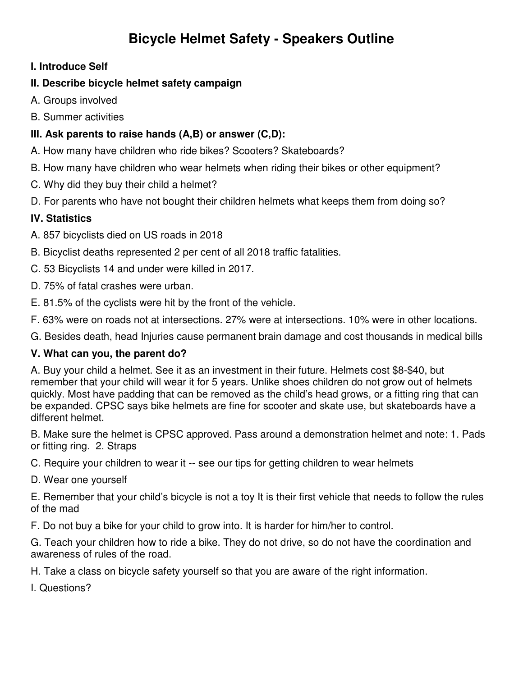## **Bicycle Helmet Safety - Speakers Outline**

### **I. Introduce Self**

### **II. Describe bicycle helmet safety campaign**

- A. Groups involved
- B. Summer activities

### **III. Ask parents to raise hands (A,B) or answer (C,D):**

- A. How many have children who ride bikes? Scooters? Skateboards?
- B. How many have children who wear helmets when riding their bikes or other equipment?
- C. Why did they buy their child a helmet?
- D. For parents who have not bought their children helmets what keeps them from doing so?

### **IV. Statistics**

- A. 857 bicyclists died on US roads in 2018
- B. Bicyclist deaths represented 2 per cent of all 2018 traffic fatalities.
- C. 53 Bicyclists 14 and under were killed in 2017.
- D. 75% of fatal crashes were urban.
- E. 81.5% of the cyclists were hit by the front of the vehicle.
- F. 63% were on roads not at intersections. 27% were at intersections. 10% were in other locations.
- G. Besides death, head Injuries cause permanent brain damage and cost thousands in medical bills

### **V. What can you, the parent do?**

A. Buy your child a helmet. See it as an investment in their future. Helmets cost \$8-\$40, but remember that your child will wear it for 5 years. Unlike shoes children do not grow out of helmets quickly. Most have padding that can be removed as the child's head grows, or a fitting ring that can be expanded. CPSC says bike helmets are fine for scooter and skate use, but skateboards have a different helmet.

B. Make sure the helmet is CPSC approved. Pass around a demonstration helmet and note: 1. Pads or fitting ring. 2. Straps

- C. Require your children to wear it -- see our tips for getting children to wear helmets
- D. Wear one yourself

E. Remember that your child's bicycle is not a toy It is their first vehicle that needs to follow the rules of the mad

F. Do not buy a bike for your child to grow into. It is harder for him/her to control.

G. Teach your children how to ride a bike. They do not drive, so do not have the coordination and awareness of rules of the road.

H. Take a class on bicycle safety yourself so that you are aware of the right information.

I. Questions?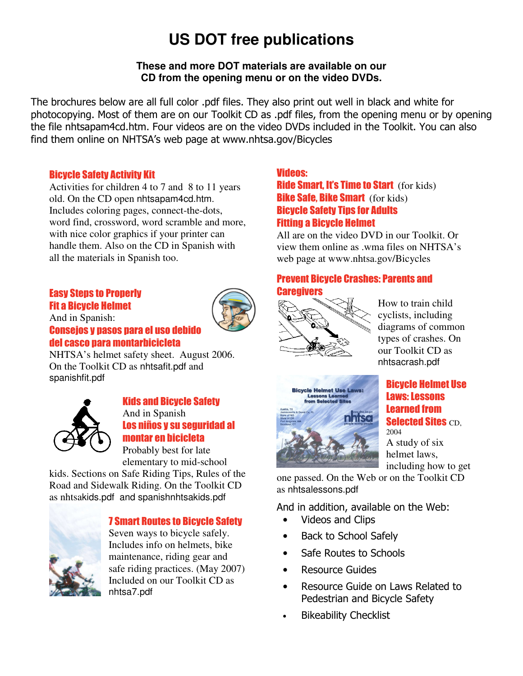# **US DOT free publications**

### **These and more DOT materials are available on our CD from the opening menu or on the video DVDs.**

The brochures below are all full color .pdf files. They also print out well in black and white for photocopying. Most of them are on our Toolkit CD as .pdf files, from the opening menu or by opening the file nhtsapam4cd.htm. Four videos are on the video DVDs included in the Toolkit. You can also find them online on NHTSA's web page at www.nhtsa.gov/Bicycles

### Bicycle Safety Activity Kit

Activities for children 4 to 7 and 8 to 11 years old. On the CD open nhtsapam4cd.htm. Includes coloring pages, connect-the-dots, word find, crossword, word scramble and more, with nice color graphics if your printer can handle them. Also on the CD in Spanish with all the materials in Spanish too.

### Easy Steps to Properly Fit a Bicycle Helmet

And in Spanish:



## Consejos y pasos para el uso debido del casco para montarbicicleta

NHTSA's helmet safety sheet. August 2006. On the Toolkit CD as nhtsafit.pdf and spanishfit.pdf



### Kids and Bicycle Safety And in Spanish Los niños y su seguridad al montar en bicicleta

Probably best for late elementary to mid-school

kids. Sections on Safe Riding Tips, Rules of the Road and Sidewalk Riding. On the Toolkit CD as nhtsakids.pdf and spanishnhtsakids.pdf



### 7 Smart Routes to Bicycle Safety

Seven ways to bicycle safely. Includes info on helmets, bike maintenance, riding gear and safe riding practices. (May 2007) Included on our Toolkit CD as nhtsa7.pdf

### Videos:

**Ride Smart, It's Time to Start** (for kids) **Bike Safe, Bike Smart** (for kids) Bicycle Safety Tips for Adults Fitting a Bicycle Helmet

All are on the video DVD in our Toolkit. Or view them online as .wma files on NHTSA's web page at www.nhtsa.gov/Bicycles

### Prevent Bicycle Crashes: Parents and **Caregivers**



How to train child cyclists, including diagrams of common types of crashes. On our Toolkit CD as nhtsacrash.pdf



### Bicycle Helmet Use Laws: Lessons Learned from **Selected Sites CD,** 2004

A study of six helmet laws, including how to get

one passed. On the Web or on the Toolkit CD as nhtsalessons.pdf

And in addition, available on the Web:

- Videos and Clips
- Back to School Safely
- Safe Routes to Schools
- **Resource Guides**
- Resource Guide on Laws Related to Pedestrian and Bicycle Safety
- **Bikeability Checklist**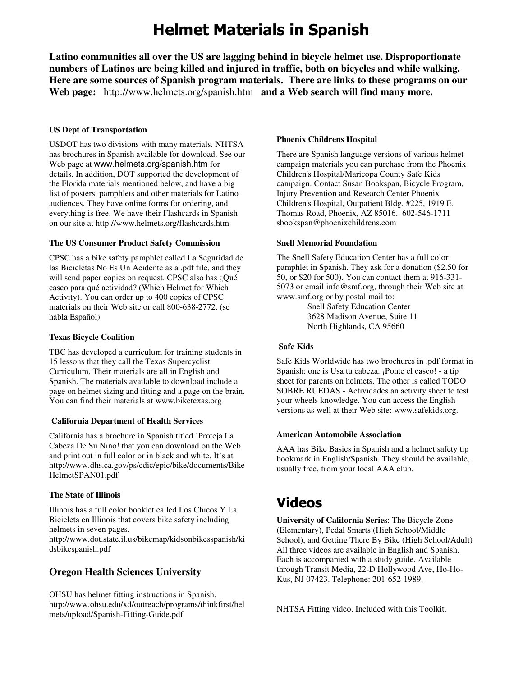# Helmet Materials in Spanish

**Latino communities all over the US are lagging behind in bicycle helmet use. Disproportionate numbers of Latinos are being killed and injured in traffic, both on bicycles and while walking. Here are some sources of Spanish program materials. There are links to these programs on our Web page:** http://www.helmets.org/spanish.htm **and a Web search will find many more.**

#### **US Dept of Transportation**

USDOT has two divisions with many materials. NHTSA has brochures in Spanish available for download. See our Web page at www.helmets.org/spanish.htm for details. In addition, DOT supported the development of the Florida materials mentioned below, and have a big list of posters, pamphlets and other materials for Latino audiences. They have online forms for ordering, and everything is free. We have their Flashcards in Spanish on our site at http://www.helmets.org/flashcards.htm

#### **The US Consumer Product Safety Commission**

CPSC has a bike safety pamphlet called La Seguridad de las Bicicletas No Es Un Acidente as a .pdf file, and they will send paper copies on request. CPSC also has ¿Qué casco para qué actividad? (Which Helmet for Which Activity). You can order up to 400 copies of CPSC materials on their Web site or call 800-638-2772. (se habla Español)

#### **Texas Bicycle Coalition**

TBC has developed a curriculum for training students in 15 lessons that they call the Texas Supercyclist Curriculum. Their materials are all in English and Spanish. The materials available to download include a page on helmet sizing and fitting and a page on the brain. You can find their materials at www.biketexas.org

#### **California Department of Health Services**

California has a brochure in Spanish titled !Proteja La Cabeza De Su Nino! that you can download on the Web and print out in full color or in black and white. It's at http://www.dhs.ca.gov/ps/cdic/epic/bike/documents/Bike HelmetSPAN01.pdf

#### **The State of Illinois**

Illinois has a full color booklet called Los Chicos Y La Bicicleta en Illinois that covers bike safety including helmets in seven pages. http://www.dot.state.il.us/bikemap/kidsonbikesspanish/ki dsbikespanish.pdf

### **Oregon Health Sciences University**

OHSU has helmet fitting instructions in Spanish. http://www.ohsu.edu/xd/outreach/programs/thinkfirst/hel mets/upload/Spanish-Fitting-Guide.pdf

#### **Phoenix Childrens Hospital**

There are Spanish language versions of various helmet campaign materials you can purchase from the Phoenix Children's Hospital/Maricopa County Safe Kids campaign. Contact Susan Bookspan, Bicycle Program, Injury Prevention and Research Center Phoenix Children's Hospital, Outpatient Bldg. #225, 1919 E. Thomas Road, Phoenix, AZ 85016. 602-546-1711 sbookspan@phoenixchildrens.com

#### **Snell Memorial Foundation**

The Snell Safety Education Center has a full color pamphlet in Spanish. They ask for a donation (\$2.50 for 50, or \$20 for 500). You can contact them at 916-331- 5073 or email info@smf.org, through their Web site at www.smf.org or by postal mail to:

> Snell Safety Education Center 3628 Madison Avenue, Suite 11 North Highlands, CA 95660

#### **Safe Kids**

Safe Kids Worldwide has two brochures in .pdf format in Spanish: one is Usa tu cabeza. ¡Ponte el casco! - a tip sheet for parents on helmets. The other is called TODO SOBRE RUEDAS - Actividades an activity sheet to test your wheels knowledge. You can access the English versions as well at their Web site: www.safekids.org.

#### **American Automobile Association**

AAA has Bike Basics in Spanish and a helmet safety tip bookmark in English/Spanish. They should be available, usually free, from your local AAA club.

## Videos

**University of California Series**: The Bicycle Zone (Elementary), Pedal Smarts (High School/Middle School), and Getting There By Bike (High School/Adult) All three videos are available in English and Spanish. Each is accompanied with a study guide. Available through Transit Media, 22-D Hollywood Ave, Ho-Ho-Kus, NJ 07423. Telephone: 201-652-1989.

NHTSA Fitting video. Included with this Toolkit.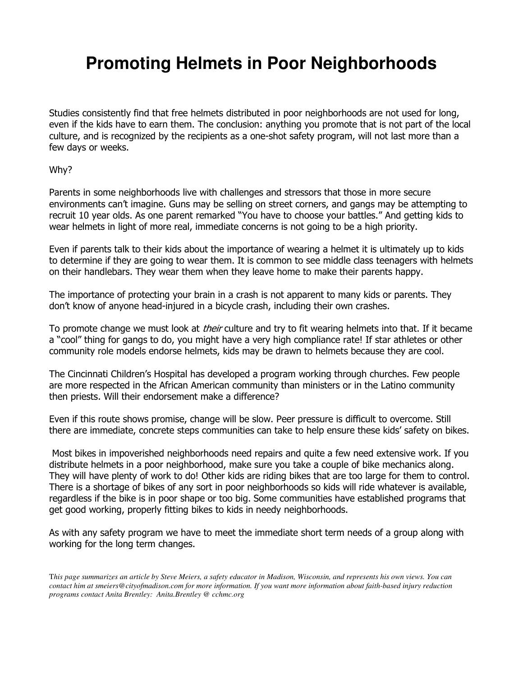# **Promoting Helmets in Poor Neighborhoods**

Studies consistently find that free helmets distributed in poor neighborhoods are not used for long, even if the kids have to earn them. The conclusion: anything you promote that is not part of the local culture, and is recognized by the recipients as a one-shot safety program, will not last more than a few days or weeks.

Why?

Parents in some neighborhoods live with challenges and stressors that those in more secure environments can't imagine. Guns may be selling on street corners, and gangs may be attempting to recruit 10 year olds. As one parent remarked "You have to choose your battles." And getting kids to wear helmets in light of more real, immediate concerns is not going to be a high priority.

Even if parents talk to their kids about the importance of wearing a helmet it is ultimately up to kids to determine if they are going to wear them. It is common to see middle class teenagers with helmets on their handlebars. They wear them when they leave home to make their parents happy.

The importance of protecting your brain in a crash is not apparent to many kids or parents. They don't know of anyone head-injured in a bicycle crash, including their own crashes.

To promote change we must look at *their* culture and try to fit wearing helmets into that. If it became a "cool" thing for gangs to do, you might have a very high compliance rate! If star athletes or other community role models endorse helmets, kids may be drawn to helmets because they are cool.

The Cincinnati Children's Hospital has developed a program working through churches. Few people are more respected in the African American community than ministers or in the Latino community then priests. Will their endorsement make a difference?

Even if this route shows promise, change will be slow. Peer pressure is difficult to overcome. Still there are immediate, concrete steps communities can take to help ensure these kids' safety on bikes.

 Most bikes in impoverished neighborhoods need repairs and quite a few need extensive work. If you distribute helmets in a poor neighborhood, make sure you take a couple of bike mechanics along. They will have plenty of work to do! Other kids are riding bikes that are too large for them to control. There is a shortage of bikes of any sort in poor neighborhoods so kids will ride whatever is available, regardless if the bike is in poor shape or too big. Some communities have established programs that get good working, properly fitting bikes to kids in needy neighborhoods.

As with any safety program we have to meet the immediate short term needs of a group along with working for the long term changes.

T*his page summarizes an article by Steve Meiers, a safety educator in Madison, Wisconsin, and represents his own views. You can contact him at smeiers@cityofmadison.com for more information. If you want more information about faith-based injury reduction programs contact Anita Brentley: Anita.Brentley @ cchmc.org*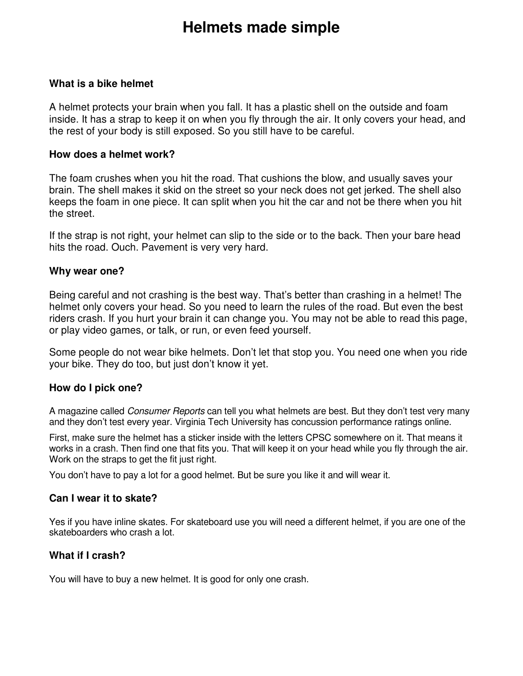# **Helmets made simple**

### **What is a bike helmet**

A helmet protects your brain when you fall. It has a plastic shell on the outside and foam inside. It has a strap to keep it on when you fly through the air. It only covers your head, and the rest of your body is still exposed. So you still have to be careful.

### **How does a helmet work?**

The foam crushes when you hit the road. That cushions the blow, and usually saves your brain. The shell makes it skid on the street so your neck does not get jerked. The shell also keeps the foam in one piece. It can split when you hit the car and not be there when you hit the street.

If the strap is not right, your helmet can slip to the side or to the back. Then your bare head hits the road. Ouch. Pavement is very very hard.

### **Why wear one?**

Being careful and not crashing is the best way. That's better than crashing in a helmet! The helmet only covers your head. So you need to learn the rules of the road. But even the best riders crash. If you hurt your brain it can change you. You may not be able to read this page, or play video games, or talk, or run, or even feed yourself.

Some people do not wear bike helmets. Don't let that stop you. You need one when you ride your bike. They do too, but just don't know it yet.

### **How do I pick one?**

A magazine called *Consumer Reports* can tell you what helmets are best. But they don't test very many and they don't test every year. Virginia Tech University has concussion performance ratings online.

First, make sure the helmet has a sticker inside with the letters CPSC somewhere on it. That means it works in a crash. Then find one that fits you. That will keep it on your head while you fly through the air. Work on the straps to get the fit just right.

You don't have to pay a lot for a good helmet. But be sure you like it and will wear it.

### **Can I wear it to skate?**

Yes if you have inline skates. For skateboard use you will need a different helmet, if you are one of the skateboarders who crash a lot.

### **What if I crash?**

You will have to buy a new helmet. It is good for only one crash.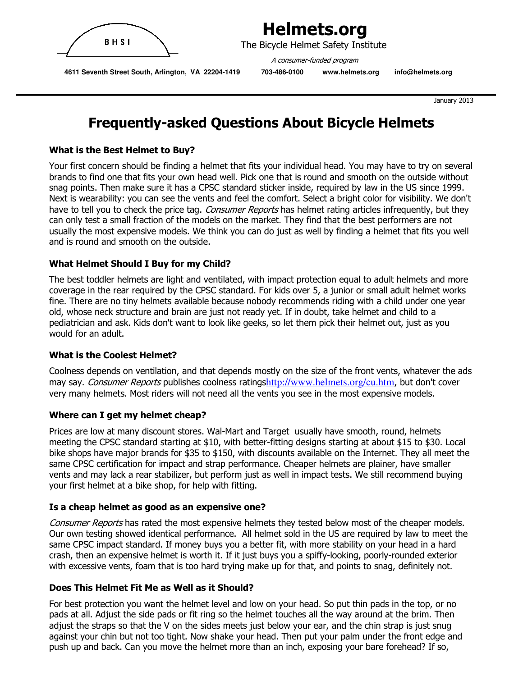

 The Bicycle Helmet Safety Institute A consumer-funded program

 **4611 Seventh Street South, Arlington, VA 22204-1419 703-486-0100 www.helmets.org info@helmets.org** 

January 2013

## Frequently-asked Questions About Bicycle Helmets

### What is the Best Helmet to Buy?

Your first concern should be finding a helmet that fits your individual head. You may have to try on several brands to find one that fits your own head well. Pick one that is round and smooth on the outside without snag points. Then make sure it has a CPSC standard sticker inside, required by law in the US since 1999. Next is wearability: you can see the vents and feel the comfort. Select a bright color for visibility. We don't have to tell you to check the price tag. *Consumer Reports* has helmet rating articles infrequently, but they can only test a small fraction of the models on the market. They find that the best performers are not usually the most expensive models. We think you can do just as well by finding a helmet that fits you well and is round and smooth on the outside.

### What Helmet Should I Buy for my Child?

The best toddler helmets are light and ventilated, with impact protection equal to adult helmets and more coverage in the rear required by the CPSC standard. For kids over 5, a junior or small adult helmet works fine. There are no tiny helmets available because nobody recommends riding with a child under one year old, whose neck structure and brain are just not ready yet. If in doubt, take helmet and child to a pediatrician and ask. Kids don't want to look like geeks, so let them pick their helmet out, just as you would for an adult.

### What is the Coolest Helmet?

Coolness depends on ventilation, and that depends mostly on the size of the front vents, whatever the ads may say. Consumer Reports publishes coolness ratingshttp://www.helmets.org/cu.htm, but don't cover very many helmets. Most riders will not need all the vents you see in the most expensive models.

### Where can I get my helmet cheap?

Prices are low at many discount stores. Wal-Mart and Target usually have smooth, round, helmets meeting the CPSC standard starting at \$10, with better-fitting designs starting at about \$15 to \$30. Local bike shops have major brands for \$35 to \$150, with discounts available on the Internet. They all meet the same CPSC certification for impact and strap performance. Cheaper helmets are plainer, have smaller vents and may lack a rear stabilizer, but perform just as well in impact tests. We still recommend buying your first helmet at a bike shop, for help with fitting.

### Is a cheap helmet as good as an expensive one?

Consumer Reports has rated the most expensive helmets they tested below most of the cheaper models. Our own testing showed identical performance. All helmet sold in the US are required by law to meet the same CPSC impact standard. If money buys you a better fit, with more stability on your head in a hard crash, then an expensive helmet is worth it. If it just buys you a spiffy-looking, poorly-rounded exterior with excessive vents, foam that is too hard trying make up for that, and points to snag, definitely not.

### Does This Helmet Fit Me as Well as it Should?

For best protection you want the helmet level and low on your head. So put thin pads in the top, or no pads at all. Adjust the side pads or fit ring so the helmet touches all the way around at the brim. Then adjust the straps so that the V on the sides meets just below your ear, and the chin strap is just snug against your chin but not too tight. Now shake your head. Then put your palm under the front edge and push up and back. Can you move the helmet more than an inch, exposing your bare forehead? If so,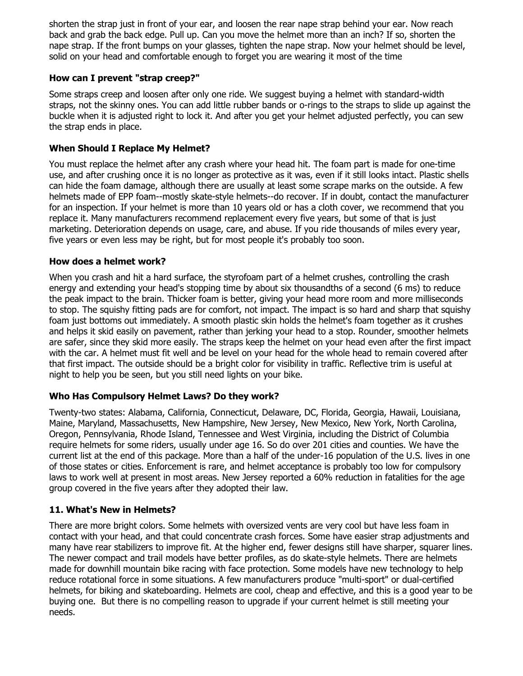shorten the strap just in front of your ear, and loosen the rear nape strap behind your ear. Now reach back and grab the back edge. Pull up. Can you move the helmet more than an inch? If so, shorten the nape strap. If the front bumps on your glasses, tighten the nape strap. Now your helmet should be level, solid on your head and comfortable enough to forget you are wearing it most of the time

### How can I prevent "strap creep?"

Some straps creep and loosen after only one ride. We suggest buying a helmet with standard-width straps, not the skinny ones. You can add little rubber bands or o-rings to the straps to slide up against the buckle when it is adjusted right to lock it. And after you get your helmet adjusted perfectly, you can sew the strap ends in place.

### When Should I Replace My Helmet?

You must replace the helmet after any crash where your head hit. The foam part is made for one-time use, and after crushing once it is no longer as protective as it was, even if it still looks intact. Plastic shells can hide the foam damage, although there are usually at least some scrape marks on the outside. A few helmets made of EPP foam--mostly skate-style helmets--do recover. If in doubt, contact the manufacturer for an inspection. If your helmet is more than 10 years old or has a cloth cover, we recommend that you replace it. Many manufacturers recommend replacement every five years, but some of that is just marketing. Deterioration depends on usage, care, and abuse. If you ride thousands of miles every year, five years or even less may be right, but for most people it's probably too soon.

### How does a helmet work?

When you crash and hit a hard surface, the styrofoam part of a helmet crushes, controlling the crash energy and extending your head's stopping time by about six thousandths of a second (6 ms) to reduce the peak impact to the brain. Thicker foam is better, giving your head more room and more milliseconds to stop. The squishy fitting pads are for comfort, not impact. The impact is so hard and sharp that squishy foam just bottoms out immediately. A smooth plastic skin holds the helmet's foam together as it crushes and helps it skid easily on pavement, rather than jerking your head to a stop. Rounder, smoother helmets are safer, since they skid more easily. The straps keep the helmet on your head even after the first impact with the car. A helmet must fit well and be level on your head for the whole head to remain covered after that first impact. The outside should be a bright color for visibility in traffic. Reflective trim is useful at night to help you be seen, but you still need lights on your bike.

### Who Has Compulsory Helmet Laws? Do they work?

Twenty-two states: Alabama, California, Connecticut, Delaware, DC, Florida, Georgia, Hawaii, Louisiana, Maine, Maryland, Massachusetts, New Hampshire, New Jersey, New Mexico, New York, North Carolina, Oregon, Pennsylvania, Rhode Island, Tennessee and West Virginia, including the District of Columbia require helmets for some riders, usually under age 16. So do over 201 cities and counties. We have the current list at the end of this package. More than a half of the under-16 population of the U.S. lives in one of those states or cities. Enforcement is rare, and helmet acceptance is probably too low for compulsory laws to work well at present in most areas. New Jersey reported a 60% reduction in fatalities for the age group covered in the five years after they adopted their law.

### 11. What's New in Helmets?

There are more bright colors. Some helmets with oversized vents are very cool but have less foam in contact with your head, and that could concentrate crash forces. Some have easier strap adjustments and many have rear stabilizers to improve fit. At the higher end, fewer designs still have sharper, squarer lines. The newer compact and trail models have better profiles, as do skate-style helmets. There are helmets made for downhill mountain bike racing with face protection. Some models have new technology to help reduce rotational force in some situations. A few manufacturers produce "multi-sport" or dual-certified helmets, for biking and skateboarding. Helmets are cool, cheap and effective, and this is a good year to be buying one. But there is no compelling reason to upgrade if your current helmet is still meeting your needs.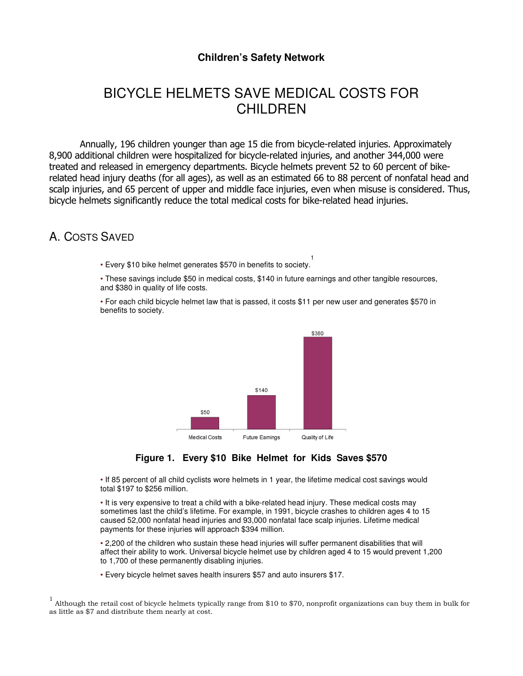### **Children's Safety Network**

## BICYCLE HELMETS SAVE MEDICAL COSTS FOR CHILDREN

Annually, 196 children younger than age 15 die from bicycle-related injuries. Approximately 8,900 additional children were hospitalized for bicycle-related injuries, and another 344,000 were treated and released in emergency departments. Bicycle helmets prevent 52 to 60 percent of bikerelated head injury deaths (for all ages), as well as an estimated 66 to 88 percent of nonfatal head and scalp injuries, and 65 percent of upper and middle face injuries, even when misuse is considered. Thus, bicycle helmets significantly reduce the total medical costs for bike-related head injuries.

### A. COSTS SAVED

• Every \$10 bike helmet generates \$570 in benefits to society. 1

• These savings include \$50 in medical costs, \$140 in future earnings and other tangible resources, and \$380 in quality of life costs.

• For each child bicycle helmet law that is passed, it costs \$11 per new user and generates \$570 in benefits to society.





• If 85 percent of all child cyclists wore helmets in 1 year, the lifetime medical cost savings would total \$197 to \$256 million.

• It is very expensive to treat a child with a bike-related head injury. These medical costs may sometimes last the child's lifetime. For example, in 1991, bicycle crashes to children ages 4 to 15 caused 52,000 nonfatal head injuries and 93,000 nonfatal face scalp injuries. Lifetime medical payments for these injuries will approach \$394 million.

• 2,200 of the children who sustain these head injuries will suffer permanent disabilities that will affect their ability to work. Universal bicycle helmet use by children aged 4 to 15 would prevent 1,200 to 1,700 of these permanently disabling injuries.

• Every bicycle helmet saves health insurers \$57 and auto insurers \$17.

<sup>1</sup> Although the retail cost of bicycle helmets typically range from \$10 to \$70, nonprofit organizations can buy them in bulk for as little as \$7 and distribute them nearly at cost.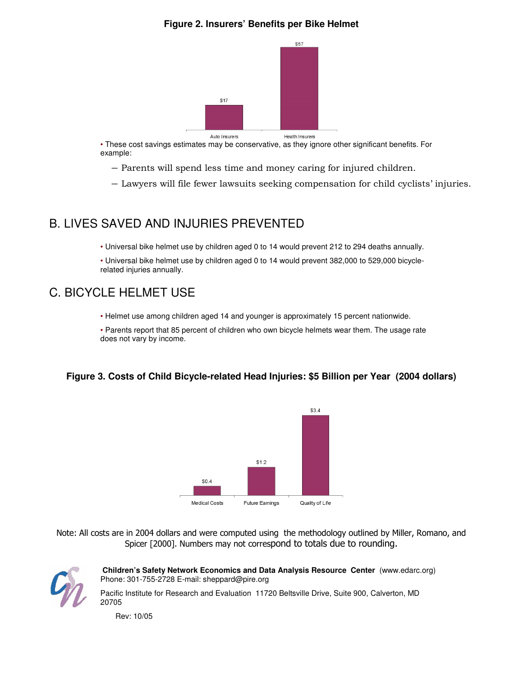### **Figure 2. Insurers' Benefits per Bike Helmet**



• These cost savings estimates may be conservative, as they ignore other significant benefits. For example:

- ― Parents will spend less time and money caring for injured children.
- ― Lawyers will file fewer lawsuits seeking compensation for child cyclists' injuries.

### B. LIVES SAVED AND INJURIES PREVENTED

• Universal bike helmet use by children aged 0 to 14 would prevent 212 to 294 deaths annually.

• Universal bike helmet use by children aged 0 to 14 would prevent 382,000 to 529,000 bicyclerelated injuries annually.

## C. BICYCLE HELMET USE

• Helmet use among children aged 14 and younger is approximately 15 percent nationwide.

• Parents report that 85 percent of children who own bicycle helmets wear them. The usage rate does not vary by income.

### **Figure 3. Costs of Child Bicycle-related Head Injuries: \$5 Billion per Year (2004 dollars)**



Note: All costs are in 2004 dollars and were computed using the methodology outlined by Miller, Romano, and Spicer [2000]. Numbers may not correspond to totals due to rounding.



 **Children's Safety Network Economics and Data Analysis Resource Center** (www.edarc.org) Phone: 301-755-2728 E-mail: sheppard@pire.org

Pacific Institute for Research and Evaluation 11720 Beltsville Drive, Suite 900, Calverton, MD 20705

Rev: 10/05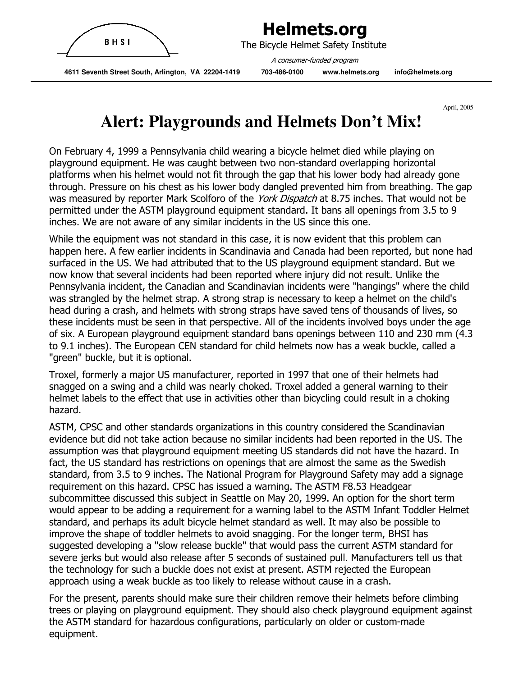

 The Bicycle Helmet Safety Institute A consumer-funded program

 **4611 Seventh Street South, Arlington, VA 22204-1419 703-486-0100 www.helmets.org info@helmets.org** 

April, 2005

# **Alert: Playgrounds and Helmets Don't Mix!**

On February 4, 1999 a Pennsylvania child wearing a bicycle helmet died while playing on playground equipment. He was caught between two non-standard overlapping horizontal platforms when his helmet would not fit through the gap that his lower body had already gone through. Pressure on his chest as his lower body dangled prevented him from breathing. The gap was measured by reporter Mark Scolforo of the York Dispatch at 8.75 inches. That would not be permitted under the ASTM playground equipment standard. It bans all openings from 3.5 to 9 inches. We are not aware of any similar incidents in the US since this one.

While the equipment was not standard in this case, it is now evident that this problem can happen here. A few earlier incidents in Scandinavia and Canada had been reported, but none had surfaced in the US. We had attributed that to the US playground equipment standard. But we now know that several incidents had been reported where injury did not result. Unlike the Pennsylvania incident, the Canadian and Scandinavian incidents were "hangings" where the child was strangled by the helmet strap. A strong strap is necessary to keep a helmet on the child's head during a crash, and helmets with strong straps have saved tens of thousands of lives, so these incidents must be seen in that perspective. All of the incidents involved boys under the age of six. A European playground equipment standard bans openings between 110 and 230 mm (4.3 to 9.1 inches). The European CEN standard for child helmets now has a weak buckle, called a "green" buckle, but it is optional.

Troxel, formerly a major US manufacturer, reported in 1997 that one of their helmets had snagged on a swing and a child was nearly choked. Troxel added a general warning to their helmet labels to the effect that use in activities other than bicycling could result in a choking hazard.

ASTM, CPSC and other standards organizations in this country considered the Scandinavian evidence but did not take action because no similar incidents had been reported in the US. The assumption was that playground equipment meeting US standards did not have the hazard. In fact, the US standard has restrictions on openings that are almost the same as the Swedish standard, from 3.5 to 9 inches. The National Program for Playground Safety may add a signage requirement on this hazard. CPSC has issued a warning. The ASTM F8.53 Headgear subcommittee discussed this subject in Seattle on May 20, 1999. An option for the short term would appear to be adding a requirement for a warning label to the ASTM Infant Toddler Helmet standard, and perhaps its adult bicycle helmet standard as well. It may also be possible to improve the shape of toddler helmets to avoid snagging. For the longer term, BHSI has suggested developing a "slow release buckle" that would pass the current ASTM standard for severe jerks but would also release after 5 seconds of sustained pull. Manufacturers tell us that the technology for such a buckle does not exist at present. ASTM rejected the European approach using a weak buckle as too likely to release without cause in a crash.

For the present, parents should make sure their children remove their helmets before climbing trees or playing on playground equipment. They should also check playground equipment against the ASTM standard for hazardous configurations, particularly on older or custom-made equipment.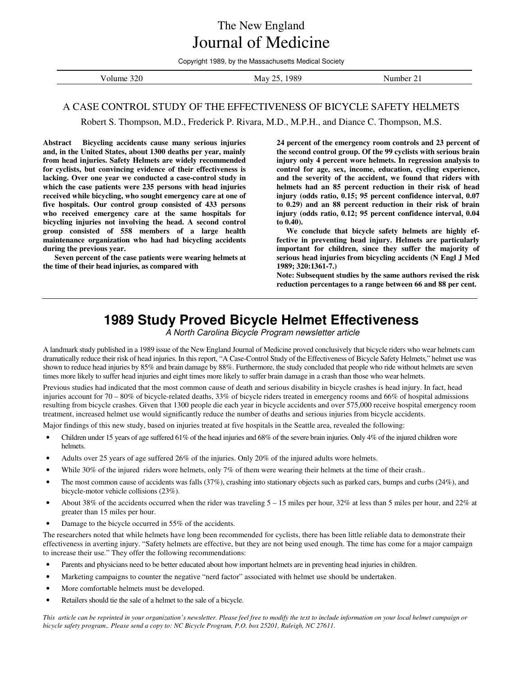The New England Journal of Medicine

Copyright 1989, by the Massachusetts Medical Society

| 320<br>не<br>$\sim$ $\sim$ $\sim$ $\sim$ $\sim$ $\sim$ | ററെ<br>n c<br>- M2 * | .nher |
|--------------------------------------------------------|----------------------|-------|
|                                                        |                      |       |

#### A CASE CONTROL STUDY OF THE EFFECTIVENESS OF BICYCLE SAFETY HELMETS

Robert S. Thompson, M.D., Frederick P. Rivara, M.D., M.P.H., and Diance C. Thompson, M.S.

**Abstract Bicycling accidents cause many serious injuries and, in the United States, about 1300 deaths per year, mainly from head injuries. Safety Helmets are widely recommended for cyclists, but convincing evidence of their effectiveness is lacking. Over one year we conducted a case-control study in which the case patients were 235 persons with head injuries received while bicycling, who sought emergency care at one of five hospitals. Our control group consisted of 433 persons who received emergency care at the same hospitals for bicycling injuries not involving the head. A second control group consisted of 558 members of a large health maintenance organization who had had bicycling accidents during the previous year.** 

 **Seven percent of the case patients were wearing helmets at the time of their head injuries, as compared with** 

**24 percent of the emergency room controls and 23 percent of the second control group. Of the 99 cyclists with serious brain injury only 4 percent wore helmets. In regression analysis to control for age, sex, income, education, cycling experience, and the severity of the accident, we found that riders with helmets had an 85 percent reduction in their risk of head injury (odds ratio, 0.15; 95 percent confidence interval, 0.07 to 0.29) and an 88 percent reduction in their risk of brain injury (odds ratio, 0.12; 95 percent confidence interval, 0.04 to 0.40).** 

 **We conclude that bicycle safety helmets are highly effective in preventing head injury. Helmets are particularly important for children, since they suffer the majority of serious head injuries from bicycling accidents (N Engl J Med 1989; 320:1361-7.)** 

**Note: Subsequent studies by the same authors revised the risk reduction percentages to a range between 66 and 88 per cent.** 

## **1989 Study Proved Bicycle Helmet Effectiveness**

A North Carolina Bicycle Program newsletter article

A landmark study published in a 1989 issue of the New England Journal of Medicine proved conclusively that bicycle riders who wear helmets cam dramatically reduce their risk of head injuries. In this report, "A Case-Control Study of the Effectiveness of Bicycle Safety Helmets," helmet use was shown to reduce head injuries by 85% and brain damage by 88%. Furthermore, the study concluded that people who ride without helmets are seven times more likely to suffer head injuries and eight times more likely to suffer brain damage in a crash than those who wear helmets.

Previous studies had indicated that the most common cause of death and serious disability in bicycle crashes is head injury. In fact, head injuries account for 70 – 80% of bicycle-related deaths, 33% of bicycle riders treated in emergency rooms and 66% of hospital admissions resulting from bicycle crashes. Given that 1300 people die each year in bicycle accidents and over 575,000 receive hospital emergency room treatment, increased helmet use would significantly reduce the number of deaths and serious injuries from bicycle accidents.

Major findings of this new study, based on injuries treated at five hospitals in the Seattle area, revealed the following:

- Children under 15 years of age suffered 61% of the head injuries and 68% of the severe brain injuries. Only 4% of the injured children wore helmets.
- Adults over 25 years of age suffered 26% of the injuries. Only 20% of the injured adults wore helmets.
- While 30% of the injured riders wore helmets, only 7% of them were wearing their helmets at the time of their crash..
- The most common cause of accidents was falls (37%), crashing into stationary objects such as parked cars, bumps and curbs (24%), and bicycle-motor vehicle collisions (23%).
- About 38% of the accidents occurred when the rider was traveling 5 15 miles per hour, 32% at less than 5 miles per hour, and 22% at greater than 15 miles per hour.
- Damage to the bicycle occurred in 55% of the accidents.

The researchers noted that while helmets have long been recommended for cyclists, there has been little reliable data to demonstrate their effectiveness in averting injury. "Safety helmets are effective, but they are not being used enough. The time has come for a major campaign to increase their use." They offer the following recommendations:

- Parents and physicians need to be better educated about how important helmets are in preventing head injuries in children.
- Marketing campaigns to counter the negative "nerd factor" associated with helmet use should be undertaken.
- More comfortable helmets must be developed.
- Retailers should tie the sale of a helmet to the sale of a bicycle.

*This article can be reprinted in your organization's newsletter. Please feel free to modify the text to include information on your local helmet campaign or bicycle safety program.. Please send a copy to: NC Bicycle Program, P.O. box 25201, Raleigh, NC 27611.*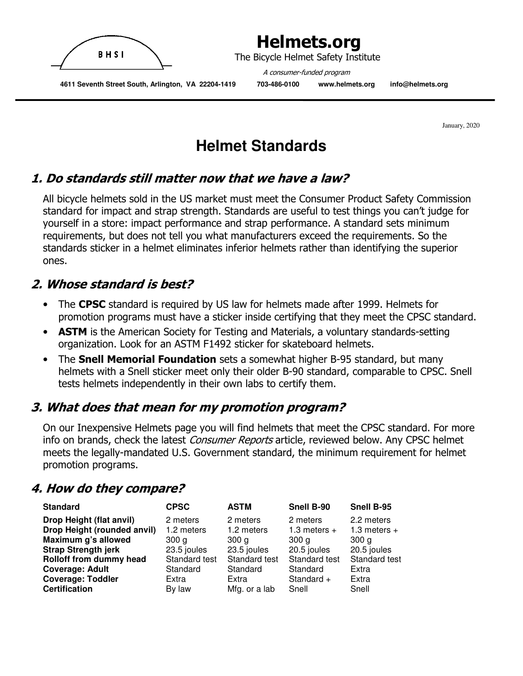

The Bicycle Helmet Safety Institute

 A consumer-funded program  **4611 Seventh Street South, Arlington, VA 22204-1419 703-486-0100 www.helmets.org info@helmets.org** 

January, 2020

# **Helmet Standards**

## 1. Do standards still matter now that we have a law?

All bicycle helmets sold in the US market must meet the Consumer Product Safety Commission standard for impact and strap strength. Standards are useful to test things you can't judge for yourself in a store: impact performance and strap performance. A standard sets minimum requirements, but does not tell you what manufacturers exceed the requirements. So the standards sticker in a helmet eliminates inferior helmets rather than identifying the superior ones.

## 2. Whose standard is best?

- The CPSC standard is required by US law for helmets made after 1999. Helmets for promotion programs must have a sticker inside certifying that they meet the CPSC standard.
- **ASTM** is the American Society for Testing and Materials, a voluntary standards-setting organization. Look for an ASTM F1492 sticker for skateboard helmets.
- The **Snell Memorial Foundation** sets a somewhat higher B-95 standard, but many helmets with a Snell sticker meet only their older B-90 standard, comparable to CPSC. Snell tests helmets independently in their own labs to certify them.

## 3. What does that mean for my promotion program?

On our Inexpensive Helmets page you will find helmets that meet the CPSC standard. For more info on brands, check the latest *Consumer Reports* article, reviewed below. Any CPSC helmet meets the legally-mandated U.S. Government standard, the minimum requirement for helmet promotion programs.

## 4. How do they compare?

| <b>Standard</b>                                         | <b>CPSC</b>            | <b>ASTM</b>            | Snell B-90                      | Snell B-95                      |
|---------------------------------------------------------|------------------------|------------------------|---------------------------------|---------------------------------|
| Drop Height (flat anvil)<br>Drop Height (rounded anvil) | 2 meters<br>1.2 meters | 2 meters<br>1.2 meters | 2 meters<br>1.3 meters $+$      | 2.2 meters<br>1.3 meters $+$    |
| Maximum g's allowed<br><b>Strap Strength jerk</b>       | 300 a<br>23.5 joules   | 300 a<br>23.5 joules   | 300 <sub>q</sub><br>20.5 joules | 300 <sub>q</sub><br>20.5 joules |
| Rolloff from dummy head                                 | Standard test          | Standard test          | Standard test                   | Standard test                   |
| <b>Coverage: Adult</b>                                  | Standard               | Standard               | Standard                        | Extra                           |
| <b>Coverage: Toddler</b>                                | Extra                  | Extra                  | Standard $+$                    | Extra                           |
| <b>Certification</b>                                    | By law                 | Mfg. or a lab          | Snell                           | Snell                           |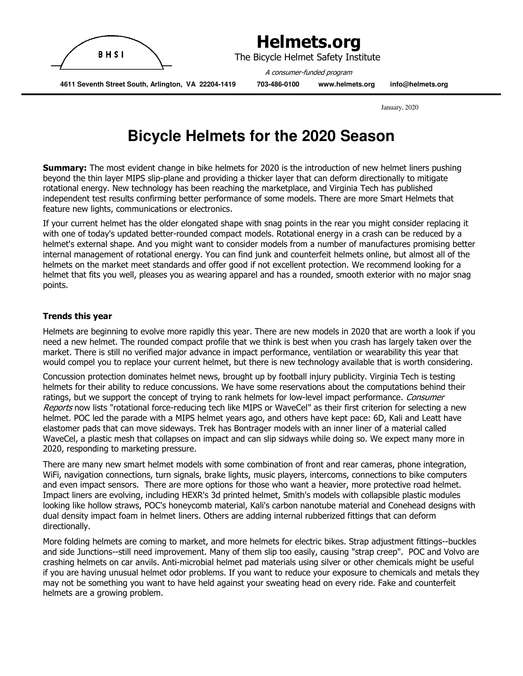

January, 2020

## **Bicycle Helmets for the 2020 Season**

**Summary:** The most evident change in bike helmets for 2020 is the introduction of new helmet liners pushing beyond the thin layer MIPS slip-plane and providing a thicker layer that can deform directionally to mitigate rotational energy. New technology has been reaching the marketplace, and Virginia Tech has published independent test results confirming better performance of some models. There are more Smart Helmets that feature new lights, communications or electronics.

If your current helmet has the older elongated shape with snag points in the rear you might consider replacing it with one of today's updated better-rounded compact models. Rotational energy in a crash can be reduced by a helmet's external shape. And you might want to consider models from a number of manufactures promising better internal management of rotational energy. You can find junk and counterfeit helmets online, but almost all of the helmets on the market meet standards and offer good if not excellent protection. We recommend looking for a helmet that fits you well, pleases you as wearing apparel and has a rounded, smooth exterior with no major snag points.

#### Trends this year

Helmets are beginning to evolve more rapidly this year. There are new models in 2020 that are worth a look if you need a new helmet. The rounded compact profile that we think is best when you crash has largely taken over the market. There is still no verified major advance in impact performance, ventilation or wearability this year that would compel you to replace your current helmet, but there is new technology available that is worth considering.

Concussion protection dominates helmet news, brought up by football injury publicity. Virginia Tech is testing helmets for their ability to reduce concussions. We have some reservations about the computations behind their ratings, but we support the concept of trying to rank helmets for low-level impact performance. Consumer Reports now lists "rotational force-reducing tech like MIPS or WaveCel" as their first criterion for selecting a new helmet. POC led the parade with a MIPS helmet years ago, and others have kept pace: 6D, Kali and Leatt have elastomer pads that can move sideways. Trek has Bontrager models with an inner liner of a material called WaveCel, a plastic mesh that collapses on impact and can slip sidways while doing so. We expect many more in 2020, responding to marketing pressure.

There are many new smart helmet models with some combination of front and rear cameras, phone integration, WiFi, navigation connections, turn signals, brake lights, music players, intercoms, connections to bike computers and even impact sensors. There are more options for those who want a heavier, more protective road helmet. Impact liners are evolving, including HEXR's 3d printed helmet, Smith's models with collapsible plastic modules looking like hollow straws, POC's honeycomb material, Kali's carbon nanotube material and Conehead designs with dual density impact foam in helmet liners. Others are adding internal rubberized fittings that can deform directionally.

More folding helmets are coming to market, and more helmets for electric bikes. Strap adjustment fittings--buckles and side Junctions--still need improvement. Many of them slip too easily, causing "strap creep". POC and Volvo are crashing helmets on car anvils. Anti-microbial helmet pad materials using silver or other chemicals might be useful if you are having unusual helmet odor problems. If you want to reduce your exposure to chemicals and metals they may not be something you want to have held against your sweating head on every ride. Fake and counterfeit helmets are a growing problem.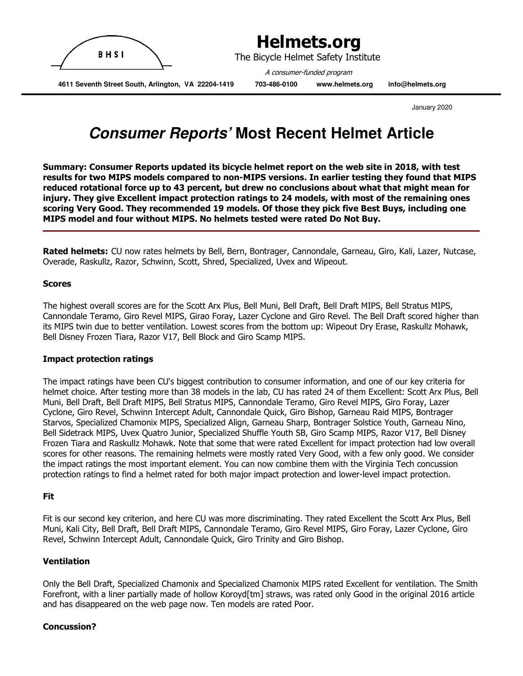

January 2020

## **Consumer Reports' Most Recent Helmet Article**

Summary: Consumer Reports updated its bicycle helmet report on the web site in 2018, with test results for two MIPS models compared to non-MIPS versions. In earlier testing they found that MIPS reduced rotational force up to 43 percent, but drew no conclusions about what that might mean for injury. They give Excellent impact protection ratings to 24 models, with most of the remaining ones scoring Very Good. They recommended 19 models. Of those they pick five Best Buys, including one MIPS model and four without MIPS. No helmets tested were rated Do Not Buy.

Rated helmets: CU now rates helmets by Bell, Bern, Bontrager, Cannondale, Garneau, Giro, Kali, Lazer, Nutcase, Overade, Raskullz, Razor, Schwinn, Scott, Shred, Specialized, Uvex and Wipeout.

#### Scores

The highest overall scores are for the Scott Arx Plus, Bell Muni, Bell Draft, Bell Draft MIPS, Bell Stratus MIPS, Cannondale Teramo, Giro Revel MIPS, Girao Foray, Lazer Cyclone and Giro Revel. The Bell Draft scored higher than its MIPS twin due to better ventilation. Lowest scores from the bottom up: Wipeout Dry Erase, Raskullz Mohawk, Bell Disney Frozen Tiara, Razor V17, Bell Block and Giro Scamp MIPS.

#### Impact protection ratings

The impact ratings have been CU's biggest contribution to consumer information, and one of our key criteria for helmet choice. After testing more than 38 models in the lab, CU has rated 24 of them Excellent: Scott Arx Plus, Bell Muni, Bell Draft, Bell Draft MIPS, Bell Stratus MIPS, Cannondale Teramo, Giro Revel MIPS, Giro Foray, Lazer Cyclone, Giro Revel, Schwinn Intercept Adult, Cannondale Quick, Giro Bishop, Garneau Raid MIPS, Bontrager Starvos, Specialized Chamonix MIPS, Specialized Align, Garneau Sharp, Bontrager Solstice Youth, Garneau Nino, Bell Sidetrack MIPS, Uvex Quatro Junior, Specialized Shuffle Youth SB, Giro Scamp MIPS, Razor V17, Bell Disney Frozen Tiara and Raskullz Mohawk. Note that some that were rated Excellent for impact protection had low overall scores for other reasons. The remaining helmets were mostly rated Very Good, with a few only good. We consider the impact ratings the most important element. You can now combine them with the Virginia Tech concussion protection ratings to find a helmet rated for both major impact protection and lower-level impact protection.

#### **Fit**

Fit is our second key criterion, and here CU was more discriminating. They rated Excellent the Scott Arx Plus, Bell Muni, Kali City, Bell Draft, Bell Draft MIPS, Cannondale Teramo, Giro Revel MIPS, Giro Foray, Lazer Cyclone, Giro Revel, Schwinn Intercept Adult, Cannondale Quick, Giro Trinity and Giro Bishop.

#### Ventilation

Only the Bell Draft, Specialized Chamonix and Specialized Chamonix MIPS rated Excellent for ventilation. The Smith Forefront, with a liner partially made of hollow Koroyd[tm] straws, was rated only Good in the original 2016 article and has disappeared on the web page now. Ten models are rated Poor.

#### Concussion?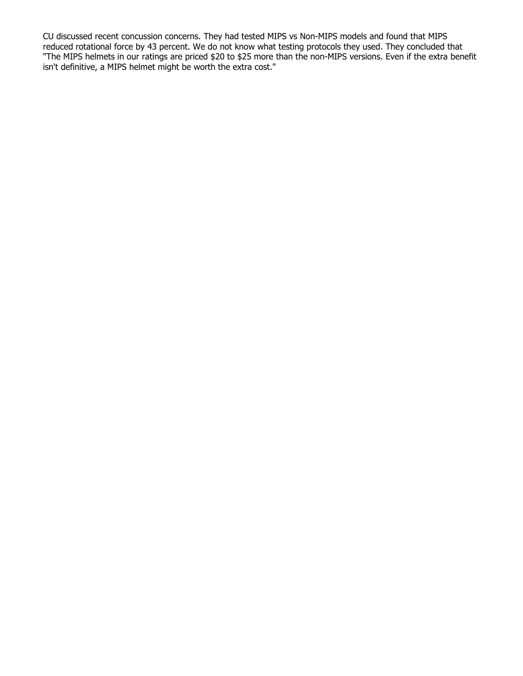CU discussed recent concussion concerns. They had tested MIPS vs Non-MIPS models and found that MIPS reduced rotational force by 43 percent. We do not know what testing protocols they used. They concluded that "The MIPS helmets in our ratings are priced \$20 to \$25 more than the non-MIPS versions. Even if the extra benefit isn't definitive, a MIPS helmet might be worth the extra cost."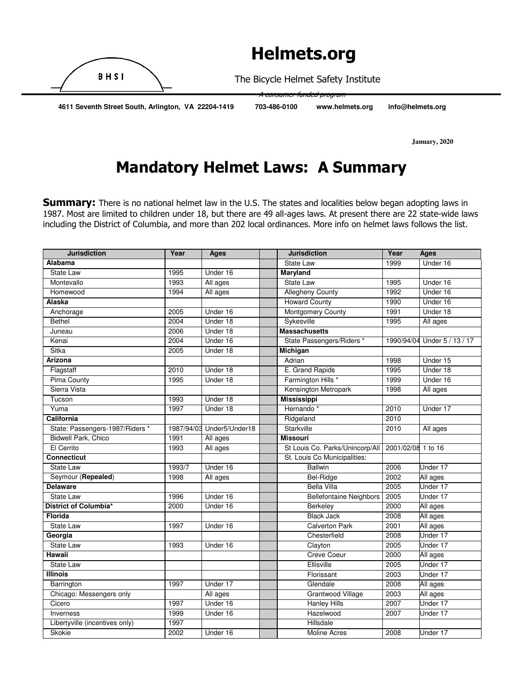

pum<del>er-funded</del>

The Bicycle Helmet Safety Institute

 **4611 Seventh Street South, Arlington, VA 22204-1419 703-486-0100 www.helmets.org info@helmets.org** 

 **January, 2020** 

# Mandatory Helmet Laws: A Summary

**Summary:** There is no national helmet law in the U.S. The states and localities below began adopting laws in 1987. Most are limited to children under 18, but there are 49 all-ages laws. At present there are 22 state-wide laws including the District of Columbia, and more than 202 local ordinances. More info on helmet laws follows the list.

| <b>Jurisdiction</b>             | Year       | Ages           | <b>Jurisdiction</b>             | Year               | <b>Ages</b>       |
|---------------------------------|------------|----------------|---------------------------------|--------------------|-------------------|
| Alabama                         |            |                | State Law                       | 1999               | Under 16          |
| <b>State Law</b>                | 1995       | Under 16       | <b>Maryland</b>                 |                    |                   |
| Montevallo                      | 1993       | All ages       | <b>State Law</b>                | 1995               | Under 16          |
| Homewood                        | 1994       | All ages       | <b>Allegheny County</b>         | 1992               | Under 16          |
| Alaska                          |            |                | <b>Howard County</b>            | 1990               | Under 16          |
| Anchorage                       | 2005       | Under 16       | <b>Montgomery County</b>        | 1991               | Under 18          |
| <b>Bethel</b>                   | 2004       | Under 18       | Sykesville                      | 1995               | All ages          |
| Juneau                          | 2006       | Under 18       | <b>Massachusetts</b>            |                    |                   |
| Kenai                           | 2004       | Under 16       | State Passengers/Riders *       | 1990/94/04         | Under 5 / 13 / 17 |
| Sitka                           | 2005       | Under 18       | <b>Michigan</b>                 |                    |                   |
| <b>Arizona</b>                  |            |                | Adrian                          | 1998               | Under 15          |
| Flagstaff                       | 2010       | Under 18       | E. Grand Rapids                 | 1995               | Under 18          |
| <b>Pima County</b>              | 1995       | Under 18       | Farmington Hills *              | 1999               | Under 16          |
| Sierra Vista                    |            |                | Kensington Metropark            | 1998               | All ages          |
| Tucson                          | 1993       | Under 18       | <b>Mississippi</b>              |                    |                   |
| Yuma                            | 1997       | Under 18       | Hernando <sup>*</sup>           | 2010               | Under 17          |
| California                      |            |                | Ridgeland                       | 2010               |                   |
| State: Passengers-1987/Riders * | 1987/94/03 | Under5/Under18 | Starkville                      | 2010               | All ages          |
| <b>Bidwell Park, Chico</b>      | 1991       | All ages       | <b>Missouri</b>                 |                    |                   |
| El Cerrito                      | 1993       | All ages       | St Louis Co. Parks/Unincorp/All | 2001/02/08 1 to 16 |                   |
| <b>Connecticut</b>              |            |                | St. Louis Co Municipalities:    |                    |                   |
| <b>State Law</b>                | 1993/7     | Under 16       | <b>Ballwin</b>                  | 2006               | Under 17          |
| Seymour (Repealed)              | 1998       | All ages       | Bel-Ridge                       | 2002               | All ages          |
| <b>Delaware</b>                 |            |                | <b>Bella Villa</b>              | 2005               | Under 17          |
| <b>State Law</b>                | 1996       | Under 16       | <b>Bellefontaine Neighbors</b>  | 2005               | Under 17          |
| District of Columbia*           | 2000       | Under 16       | Berkeley                        | 2000               | All ages          |
| Florida                         |            |                | <b>Black Jack</b>               | 2008               | All ages          |
| State Law                       | 1997       | Under 16       | <b>Calverton Park</b>           | 2001               | All ages          |
| Georgia                         |            |                | Chesterfield                    | 2008               | Under 17          |
| <b>State Law</b>                | 1993       | Under 16       | Clayton                         | 2005               | Under 17          |
| Hawaii                          |            |                | <b>Creve Coeur</b>              | 2000               | All ages          |
| <b>State Law</b>                |            |                | Ellisville                      | 2005               | Under 17          |
| <b>Illinois</b>                 |            |                | Florissant                      | 2003               | Under 17          |
| Barrington                      | 1997       | Under 17       | Glendale                        | 2008               | All ages          |
| Chicago: Messengers only        |            | All ages       | Grantwood Village               | 2003               | All ages          |
| Cicero                          | 1997       | Under 16       | <b>Hanley Hills</b>             | 2007               | Under 17          |
| Inverness                       | 1999       | Under 16       | Hazelwood                       | 2007               | Under 17          |
| Libertyville (incentives only)  | 1997       |                | Hillsdale                       |                    |                   |
| Skokie                          | 2002       | Under 16       | <b>Moline Acres</b>             | 2008               | Under 17          |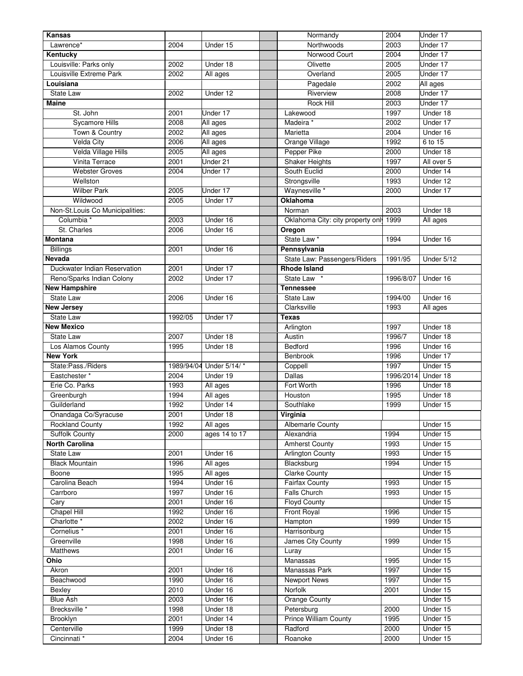| Kansas                                         |            |                      | Normandy                                   | 2004         | Under 17   |
|------------------------------------------------|------------|----------------------|--------------------------------------------|--------------|------------|
| Lawrence*                                      | 2004       | Under 15             | Northwoods                                 | 2003         | Under 17   |
| Kentucky                                       |            |                      | Norwood Court                              | 2004         | Under 17   |
| Louisville: Parks only                         | 2002       | Under 18             | Olivette                                   | 2005         | Under 17   |
| Louisville Extreme Park                        | 2002       | All ages             | Overland                                   | 2005         | Under 17   |
| Louisiana                                      |            |                      | Pagedale                                   | 2002         | All ages   |
| State Law                                      | 2002       | Under 12             | Riverview                                  | 2008         | Under 17   |
| <b>Maine</b>                                   |            |                      | <b>Rock Hill</b>                           | 2003         | Under 17   |
| St. John                                       | 2001       | Under 17             | Lakewood                                   | 1997         | Under 18   |
| <b>Sycamore Hills</b>                          | 2008       | All ages             | Madeira *                                  | 2002         | Under 17   |
| Town & Country                                 | 2002       | All ages             | Marietta                                   | 2004         | Under 16   |
| <b>Velda City</b>                              | 2006       | All ages             | Orange Village                             | 1992         | 6 to 15    |
| Velda Village Hills                            | 2005       | All ages             | Pepper Pike                                | 2000         | Under 18   |
| Vinita Terrace                                 | 2001       | Under 21             | <b>Shaker Heights</b>                      | 1997         | All over 5 |
| <b>Webster Groves</b>                          | 2004       | Under 17             | South Euclid                               | 2000         | Under 14   |
| Wellston                                       |            |                      | Strongsville                               | 1993         | Under 12   |
| <b>Wilber Park</b>                             | 2005       | Under 17             | Waynesville *                              | 2000         | Under 17   |
| Wildwood                                       | 2005       | Under 17             | <b>Oklahoma</b>                            |              |            |
| Non-St.Louis Co Municipalities:                |            |                      | Norman                                     | 2003         | Under 18   |
| Columbia *                                     | 2003       | Under 16             | Oklahoma City: city property only          | 1999         | All ages   |
| St. Charles                                    | 2006       | Under 16             | Oregon                                     |              |            |
| <b>Montana</b>                                 |            |                      | State Law <sup>*</sup>                     | 1994         | Under 16   |
| <b>Billings</b>                                | 2001       | Under 16             | Pennsylvania                               |              |            |
| <b>Nevada</b>                                  |            |                      | State Law: Passengers/Riders               | 1991/95      | Under 5/12 |
| Duckwater Indian Reservation                   | 2001       | Under 17             | <b>Rhode Island</b>                        |              |            |
| Reno/Sparks Indian Colony                      | 2002       | Under 17             | <b>State Law</b>                           | 1996/8/07    | Under 16   |
| <b>New Hampshire</b>                           |            |                      | <b>Tennessee</b>                           |              |            |
| <b>State Law</b>                               | 2006       | Under 16             | <b>State Law</b>                           | 1994/00      | Under 16   |
| <b>New Jersey</b>                              |            |                      | Clarksville                                | 1993         | All ages   |
| <b>State Law</b>                               | 1992/05    | Under 17             | <b>Texas</b>                               |              |            |
| <b>New Mexico</b>                              |            |                      | Arlington                                  | 1997         | Under 18   |
| State Law                                      | 2007       | Under 18             | Austin                                     | 1996/7       | Under 18   |
| Los Alamos County                              | 1995       | Under 18             | Bedford                                    | 1996         | Under 16   |
| <b>New York</b>                                |            |                      | Benbrook                                   | 1996         | Under 17   |
| State:Pass./Riders                             | 1989/94/04 | Under 5/14/*         | Coppell                                    | 1997         | Under 15   |
| Eastchester*                                   | 2004       | Under 19             | <b>Dallas</b>                              | 1996/2014    | Under 18   |
| Erie Co. Parks                                 | 1993       | All ages             | Fort Worth                                 | 1996         | Under 18   |
| Greenburgh                                     | 1994       | All ages             | Houston                                    | 1995         | Under 18   |
| Guilderland                                    | 1992       | Under 14             | Southlake                                  | 1999         | Under 15   |
|                                                | 2001       | Under 18             |                                            |              |            |
| Onandaga Co/Syracuse<br><b>Rockland County</b> | 1992       | All ages             | Vırgınıa<br>Albemarle County               |              | Under 15   |
| Suffolk County                                 | 2000       | ages 14 to 17        | Alexandria                                 | 1994         | Under 15   |
| <b>North Carolina</b>                          |            |                      | <b>Amherst County</b>                      | 1993         | Under 15   |
| State Law                                      | 2001       | Under 16             | <b>Arlington County</b>                    | 1993         | Under 15   |
| <b>Black Mountain</b>                          | 1996       | All ages             | Blacksburg                                 | 1994         | Under 15   |
| Boone                                          | 1995       | All ages             | <b>Clarke County</b>                       |              | Under 15   |
| Carolina Beach                                 | 1994       | Under 16             | <b>Fairfax County</b>                      | 1993         | Under 15   |
| Carrboro                                       | 1997       | Under 16             | <b>Falls Church</b>                        | 1993         | Under 15   |
| Cary                                           | 2001       | Under 16             | <b>Floyd County</b>                        |              | Under 15   |
| Chapel Hill                                    | 1992       | Under 16             | <b>Front Royal</b>                         | 1996         | Under 15   |
| Charlotte <sup>*</sup>                         | 2002       | Under 16             | Hampton                                    | 1999         | Under 15   |
| Cornelius <sup>*</sup>                         | 2001       | Under 16             | Harrisonburg                               |              | Under 15   |
| Greenville                                     | 1998       | Under 16             | James City County                          | 1999         | Under 15   |
| <b>Matthews</b>                                | 2001       | Under 16             | Luray                                      |              | Under 15   |
| Ohio                                           |            |                      | Manassas                                   | 1995         | Under 15   |
| Akron                                          | 2001       | Under 16             | Manassas Park                              | 1997         | Under 15   |
| Beachwood                                      | 1990       |                      |                                            | 1997         | Under 15   |
|                                                |            | Under 16<br>Under 16 | <b>Newport News</b><br>Norfolk             | 2001         | Under 15   |
| Bexley                                         | 2010       |                      |                                            |              |            |
| <b>Blue Ash</b>                                | 2003       | Under 16             | Orange County                              |              | Under 15   |
| Brecksville *                                  | 1998       | Under 18             | Petersburg<br><b>Prince William County</b> | 2000<br>1995 | Under 15   |
| <b>Brooklyn</b>                                | 2001       | Under 14             |                                            |              | Under 15   |
| Centerville                                    | 1999       | Under 18             | Radford                                    | 2000         | Under 15   |
| Cincinnati <sup>*</sup>                        | 2004       | Under 16             | Roanoke                                    | 2000         | Under 15   |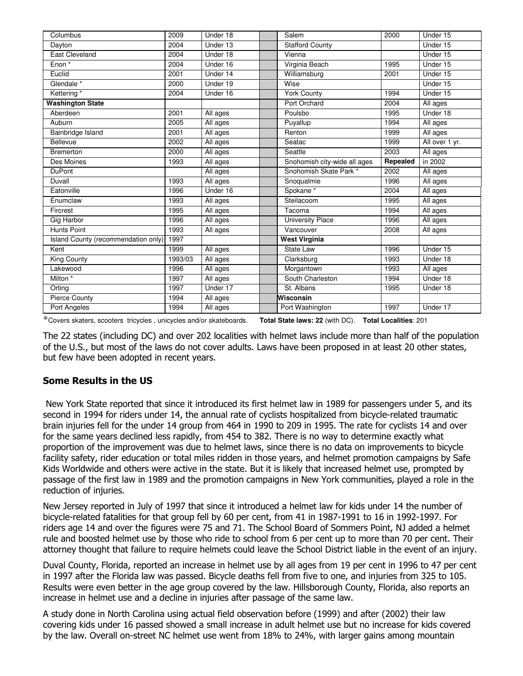| Columbus                            | 2009    | Under 18 | Salem                        | 2000     | Under 15       |
|-------------------------------------|---------|----------|------------------------------|----------|----------------|
| Dayton                              | 2004    | Under 13 | <b>Stafford County</b>       |          | Under 15       |
| <b>East Cleveland</b>               | 2004    | Under 18 | Vienna                       |          | Under 15       |
| Enon *                              | 2004    | Under 16 | Virginia Beach               | 1995     | Under 15       |
| Euclid                              | 2001    | Under 14 | Williamsburg                 | 2001     | Under 15       |
| Glendale <sup>*</sup>               | 2000    | Under 19 | Wise                         |          | Under 15       |
| Kettering*                          | 2004    | Under 16 | <b>York County</b>           | 1994     | Under 15       |
| <b>Washington State</b>             |         |          | Port Orchard                 | 2004     | All ages       |
| Aberdeen                            | 2001    | All ages | Poulsbo                      | 1995     | Under 18       |
| Auburn                              | 2005    | All ages | Puyallup                     | 1994     | All ages       |
| Bainbridge Island                   | 2001    | All ages | Renton                       | 1999     | All ages       |
| Bellevue                            | 2002    | All ages | Seatac                       | 1999     | All over 1 yr. |
| <b>Bremerton</b>                    | 2000    | All ages | Seattle                      | 2003     | All ages       |
| Des Moines                          | 1993    | All ages | Snohomish city-wide all ages | Repealed | in 2002        |
| <b>DuPont</b>                       |         | All ages | Snohomish Skate Park *       | 2002     | All ages       |
| <b>Duvall</b>                       | 1993    | All ages | Snoqualmie                   | 1996     | All ages       |
| Eatonville                          | 1996    | Under 16 | Spokane <sup>*</sup>         | 2004     | All ages       |
| Enumclaw                            | 1993    | All ages | Steilacoom                   | 1995     | All ages       |
| Fircrest                            | 1995    | All ages | Tacoma                       | 1994     | All ages       |
| <b>Gig Harbor</b>                   | 1996    | All ages | <b>University Place</b>      | 1996     | All ages       |
| <b>Hunts Point</b>                  | 1993    | All ages | Vancouver                    | 2008     | All ages       |
| Island County (recommendation only) | 1997    |          | <b>West Virginia</b>         |          |                |
| Kent                                | 1999    | All ages | State Law                    | 1996     | Under 15       |
| <b>King County</b>                  | 1993/03 | All ages | Clarksburg                   | 1993     | Under 18       |
| Lakewood                            | 1996    | All ages | Morgantown                   | 1993     | All ages       |
| Milton <sup>*</sup>                 | 1997    | All ages | South Charleston             | 1994     | Under 18       |
| Orting                              | 1997    | Under 17 | St. Albans                   | 1995     | Under 18       |
| Pierce County                       | 1994    | All ages | Wisconsin                    |          |                |
| Port Angeles                        | 1994    | All ages | Port Washington              | 1997     | Under 17       |

\*Covers skaters, scooters tricycles , unicycles and/or skateboards. **Total State laws: 22** (with DC). **Total Localities**: 201

The 22 states (including DC) and over 202 localities with helmet laws include more than half of the population of the U.S., but most of the laws do not cover adults. Laws have been proposed in at least 20 other states, but few have been adopted in recent years.

### Some Results in the US

 New York State reported that since it introduced its first helmet law in 1989 for passengers under 5, and its second in 1994 for riders under 14, the annual rate of cyclists hospitalized from bicycle-related traumatic brain injuries fell for the under 14 group from 464 in 1990 to 209 in 1995. The rate for cyclists 14 and over for the same years declined less rapidly, from 454 to 382. There is no way to determine exactly what proportion of the improvement was due to helmet laws, since there is no data on improvements to bicycle facility safety, rider education or total miles ridden in those years, and helmet promotion campaigns by Safe Kids Worldwide and others were active in the state. But it is likely that increased helmet use, prompted by passage of the first law in 1989 and the promotion campaigns in New York communities, played a role in the reduction of injuries.

New Jersey reported in July of 1997 that since it introduced a helmet law for kids under 14 the number of bicycle-related fatalities for that group fell by 60 per cent, from 41 in 1987-1991 to 16 in 1992-1997. For riders age 14 and over the figures were 75 and 71. The School Board of Sommers Point, NJ added a helmet rule and boosted helmet use by those who ride to school from 6 per cent up to more than 70 per cent. Their attorney thought that failure to require helmets could leave the School District liable in the event of an injury.

Duval County, Florida, reported an increase in helmet use by all ages from 19 per cent in 1996 to 47 per cent in 1997 after the Florida law was passed. Bicycle deaths fell from five to one, and injuries from 325 to 105. Results were even better in the age group covered by the law. Hillsborough County, Florida, also reports an increase in helmet use and a decline in injuries after passage of the same law.

A study done in North Carolina using actual field observation before (1999) and after (2002) their law covering kids under 16 passed showed a small increase in adult helmet use but no increase for kids covered by the law. Overall on-street NC helmet use went from 18% to 24%, with larger gains among mountain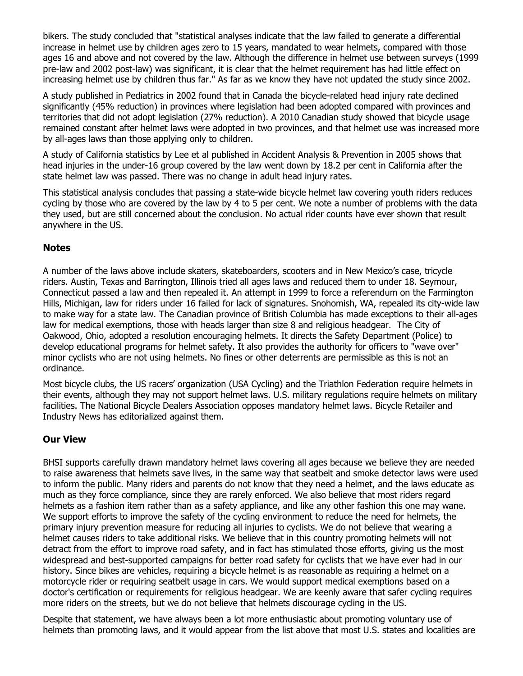bikers. The study concluded that "statistical analyses indicate that the law failed to generate a differential increase in helmet use by children ages zero to 15 years, mandated to wear helmets, compared with those ages 16 and above and not covered by the law. Although the difference in helmet use between surveys (1999 pre-law and 2002 post-law) was significant, it is clear that the helmet requirement has had little effect on increasing helmet use by children thus far." As far as we know they have not updated the study since 2002.

A study published in Pediatrics in 2002 found that in Canada the bicycle-related head injury rate declined significantly (45% reduction) in provinces where legislation had been adopted compared with provinces and territories that did not adopt legislation (27% reduction). A 2010 Canadian study showed that bicycle usage remained constant after helmet laws were adopted in two provinces, and that helmet use was increased more by all-ages laws than those applying only to children.

A study of California statistics by Lee et al published in Accident Analysis & Prevention in 2005 shows that head injuries in the under-16 group covered by the law went down by 18.2 per cent in California after the state helmet law was passed. There was no change in adult head injury rates.

This statistical analysis concludes that passing a state-wide bicycle helmet law covering youth riders reduces cycling by those who are covered by the law by 4 to 5 per cent. We note a number of problems with the data they used, but are still concerned about the conclusion. No actual rider counts have ever shown that result anywhere in the US.

### **Notes**

A number of the laws above include skaters, skateboarders, scooters and in New Mexico's case, tricycle riders. Austin, Texas and Barrington, Illinois tried all ages laws and reduced them to under 18. Seymour, Connecticut passed a law and then repealed it. An attempt in 1999 to force a referendum on the Farmington Hills, Michigan, law for riders under 16 failed for lack of signatures. Snohomish, WA, repealed its city-wide law to make way for a state law. The Canadian province of British Columbia has made exceptions to their all-ages law for medical exemptions, those with heads larger than size 8 and religious headgear. The City of Oakwood, Ohio, adopted a resolution encouraging helmets. It directs the Safety Department (Police) to develop educational programs for helmet safety. It also provides the authority for officers to "wave over" minor cyclists who are not using helmets. No fines or other deterrents are permissible as this is not an ordinance.

Most bicycle clubs, the US racers' organization (USA Cycling) and the Triathlon Federation require helmets in their events, although they may not support helmet laws. U.S. military regulations require helmets on military facilities. The National Bicycle Dealers Association opposes mandatory helmet laws. Bicycle Retailer and Industry News has editorialized against them.

### Our View

BHSI supports carefully drawn mandatory helmet laws covering all ages because we believe they are needed to raise awareness that helmets save lives, in the same way that seatbelt and smoke detector laws were used to inform the public. Many riders and parents do not know that they need a helmet, and the laws educate as much as they force compliance, since they are rarely enforced. We also believe that most riders regard helmets as a fashion item rather than as a safety appliance, and like any other fashion this one may wane. We support efforts to improve the safety of the cycling environment to reduce the need for helmets, the primary injury prevention measure for reducing all injuries to cyclists. We do not believe that wearing a helmet causes riders to take additional risks. We believe that in this country promoting helmets will not detract from the effort to improve road safety, and in fact has stimulated those efforts, giving us the most widespread and best-supported campaigns for better road safety for cyclists that we have ever had in our history. Since bikes are vehicles, requiring a bicycle helmet is as reasonable as requiring a helmet on a motorcycle rider or requiring seatbelt usage in cars. We would support medical exemptions based on a doctor's certification or requirements for religious headgear. We are keenly aware that safer cycling requires more riders on the streets, but we do not believe that helmets discourage cycling in the US.

Despite that statement, we have always been a lot more enthusiastic about promoting voluntary use of helmets than promoting laws, and it would appear from the list above that most U.S. states and localities are